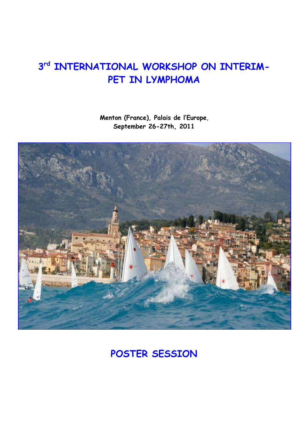# $3<sup>rd</sup>$  **INTERNATIONAL WORKSHOP ON INTERIM-PET IN LYMPHOMA**

**Menton (France), Palais de l'Europe**, **September 26-27th, 2011** 



**POSTER SESSION**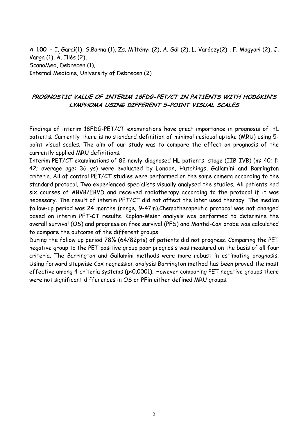**A 100 -** I. Garai(1), S.Barna (1), Zs. Miltényi (2), A. Gál (2), L. Varóczy(2) , F. Magyari (2), J. Varga (1), Á. Illés (2), ScanoMed, Debrecen (1), Internal Medicine, University of Debrecen (2)

# **PROGNOSTIC VALUE OF INTERIM 18FDG-PET/CT IN PATIENTS WITH HODGKIN'S LYMPHOMA USING DIFFERENT 5-POINT VISUAL SCALES**

Findings of interim 18FDG-PET/CT examinations have great importance in prognosis of HL patients. Currently there is no standard definition of minimal residual uptake (MRU) using 5 point visual scales. The aim of our study was to compare the effect on prognosis of the currently applied MRU definitions.

Interim PET/CT examinations of 82 newly-diagnosed HL patients stage (IIB-IVB) (m: 40; f: 42; average age: 36 ys) were evaluated by London, Hutchings, Gallamini and Barrington criteria. All of control PET/CT studies were performed on the same camera according to the standard protocol. Two experienced specialists visually analysed the studies. All patients had six courses of ABVB/EBVD and received radiotherapy according to the protocol if it was necessary. The result of interim PET/CT did not affect the later used therapy. The median follow-up period was 24 months (range, 9-47m).Chemotherapeutic protocol was not changed based on interim PET-CT results. Kaplan-Meier analysis was performed to determine the overall survival (OS) and progression free survival (PFS) and Mantel-Cox probe was calculated to compare the outcome of the different groups.

During the follow up period 78% (64/82pts) of patients did not progress. Comparing the PET negative group to the PET positive group poor prognosis was measured on the basis of all four criteria. The Barrington and Gallamini methods were more robust in estimating prognosis. Using forward stepwise Cox regression analysis Barrington method has been proved the most effective among 4 criteria systems (p<0.0001). However comparing PET negative groups there were not significant differences in OS or PFin either defined MRU groups.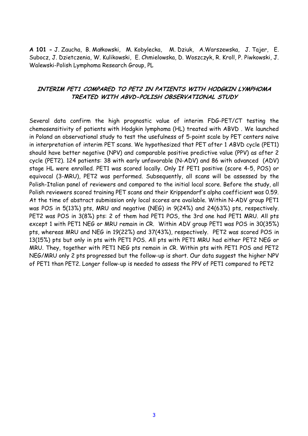**A 101 -** J. Zaucha, B. Małkowski, M. Kobylecka, M. Dziuk, A.Warszewska, J. Tajer, E. Subocz, J. Dzietczenia, W. Kulikowski, E. Chmielowska, D. Woszczyk, R. Kroll, P. Piwkowski, J. Walewski-Polish Lymphoma Research Group, PL

#### **INTERIM PET1 COMPARED TO PET2 IN PATIENTS WITH HODGKIN LYMPHOMA TREATED WITH ABVD-POLISH OBSERVATIONAL STUDY**

Several data confirm the high prognostic value of interim FDG-PET/CT testing the chemosensitivity of patients with Hodgkin lymphoma (HL) treated with ABVD . We launched in Poland an observational study to test the usefulness of 5-point scale by PET centers naïve in interpretation of interim PET scans. We hypothesized that PET after 1 ABVD cycle (PET1) should have better negative (NPV) and comparable positive predictive value (PPV) as after 2 cycle (PET2). 124 patients: 38 with early unfavorable (N-ADV) and 86 with advanced (ADV) stage HL were enrolled. PET1 was scored locally. Only If PET1 positive (score 4-5, POS) or equivocal (3-MRU), PET2 was performed. Subsequently, all scans will be assessed by the Polish-Italian panel of reviewers and compared to the initial local score. Before the study, all Polish reviewers scored training PET scans and their Krippendorf's alpha coefficient was 0.59. At the time of abstract submission only local scores are available. Within N-ADV group PET1 was POS in 5(13%) pts, MRU and negative (NEG) in 9(24%) and 24(63%) pts, respectively. PET2 was POS in 3(8%) pts: 2 of them had PET1 POS, the 3rd one had PET1 MRU. All pts except 1 with PET1 NEG or MRU remain in CR. Within ADV group PET1 was POS in 30(35%) pts, whereas MRU and NEG in 19(22%) and 37(43%), respectively. PET2 was scored POS in 13(15%) pts but only in pts with PET1 POS. All pts with PET1 MRU had either PET2 NEG or MRU. They, together with PET1 NEG pts remain in CR. Within pts with PET1 POS and PET2 NEG/MRU only 2 pts progressed but the follow-up is short. Our data suggest the higher NPV of PET1 than PET2. Longer follow-up is needed to assess the PPV of PET1 compared to PET2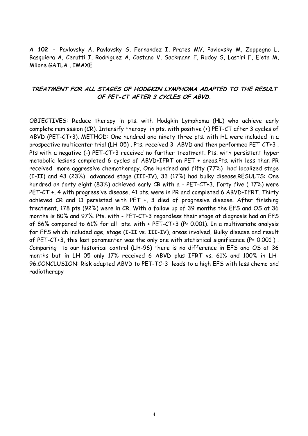**A 102 -** Pavlovsky A, Pavlovsky S, Fernandez I, Prates MV, Pavlovsky M, Zoppegno L, Basquiera A, Cerutti I, Rodriguez A, Castano V, Sackmann F, Rudoy S, Lastiri F, Eleta M, Milone GATLA , IMAXE

#### **TREATMENT FOR ALL STAGES OF HODGKIN LYMPHOMA ADAPTED TO THE RESULT OF PET-CT AFTER 3 CYCLES OF ABVD.**

OBJECTIVES: Reduce therapy in pts. with Hodgkin Lymphoma (HL) who achieve early complete remisssion (CR). Intensify therapy in pts. with positive (+) PET-CT after 3 cycles of ABVD (PET-CT+3). METHOD: One hundred and ninety three pts. with HL were included in a prospective multicenter trial (LH-05) . Pts. received 3 ABVD and then performed PET-CT+3 . Pts with a negative (-) PET-CT+3 received no further treatment. Pts. with persistent hyper metabolic lesions completed 6 cycles of ABVD+IFRT on PET + areas.Pts. with less than PR received more aggressive chemotherapy. One hundred and fifty (77%) had localized stage (I-II) and 43 (23%) advanced stage (III-IV), 33 (17%) had bulky disease.RESULTS: One hundred an forty eight (83%) achieved early CR with a - PET-CT+3. Forty five ( 17%) were PET-CT +, 4 with progressive disease, 41 pts. were in PR and completed 6 ABVD+IFRT. Thirty achieved CR and 11 persisted with PET +, 3 died of progresive disease. After finishing treatment, 178 pts (92%) were in CR. With a follow up of 39 months the EFS and OS at 36 months is 80% and 97%. Pts. with - PET-CT+3 regardless their stage at diagnosis had an EFS of 86% compared to 61% for all pts. with + PET-CT+3 (P< 0.001). In a multivariate analysis for EFS which included age, stage (I-II vs. III-IV), areas involved, Bulky disease and result of PET-CT+3, this last paramenter was the only one with statistical significance (P= 0.001). Comparing to our historical control (LH-96) there is no difference in EFS and OS at 36 months but in LH 05 only 17% received 6 ABVD plus IFRT vs. 61% and 100% in LH-96.CONCLUSION: Risk adapted ABVD to PET-TC+3 leads to a high EFS with less chemo and radiotherapy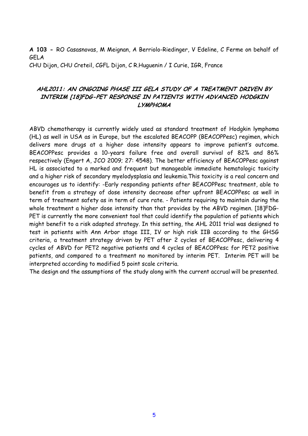**A 103 -** RO Casasnovas, M Meignan, A Berriolo-Riedinger, V Edeline, C Ferme on behalf of GELA

CHU Dijon, CHU Creteil, CGFL Dijon, C R.Huguenin / I Curie, IGR, France

# **AHL2011: AN ONGOING PHASE III GELA STUDY OF A TREATMENT DRIVEN BY INTERIM [18]FDG-PET RESPONSE IN PATIENTS WITH ADVANCED HODGKIN LYMPHOMA**

ABVD chemotherapy is currently widely used as standard treatment of Hodgkin lymphoma (HL) as well in USA as in Europe, but the escalated BEACOPP (BEACOPPesc) regimen, which delivers more drugs at a higher dose intensity appears to improve patient's outcome. BEACOPPesc provides a 10-years failure free and overall survival of 82% and 86% respectively (Engert A, JCO 2009; 27: 4548). The better efficiency of BEACOPPesc against HL is associated to a marked and frequent but manageable immediate hematologic toxicity and a higher risk of secondary myelodysplasia and leukemia.This toxicity is a real concern and encourages us to identify: -Early responding patients after BEACOPPesc treatment, able to benefit from a strategy of dose intensity decrease after upfront BEACOPPesc as well in term of treatment safety as in term of cure rate. - Patients requiring to maintain during the whole treatment a higher dose intensity than that provides by the ABVD regimen. [18]FDG-PET is currently the more convenient tool that could identify the population of patients which might benefit to a risk adapted strategy. In this setting, the AHL 2011 trial was designed to test in patients with Ann Arbor stage III, IV or high risk IIB according to the GHSG criteria, a treatment strategy driven by PET after 2 cycles of BEACOPPesc, delivering 4 cycles of ABVD for PET2 negative patients and 4 cycles of BEACOPPesc for PET2 positive patients, and compared to a treatment no monitored by interim PET. Interim PET will be interpreted according to modified 5 point scale criteria.

The design and the assumptions of the study along with the current accrual will be presented.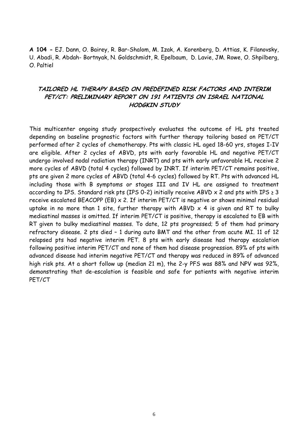**A 104 -** EJ. Dann, O. Bairey, R. Bar-Shalom, M. Izak, A. Korenberg, D. Attias, K. Filanovsky, U. Abadi, R. Abdah- Bortnyak, N. Goldschmidt, R. Epelbaum, D. Lavie, JM. Rowe, O. Shpilberg, O. Paltiel

# **TAILORED HL THERAPY BASED ON PREDEFINED RISK FACTORS AND INTERIM PET/CT: PRELIMINARY REPORT ON 191 PATIENTS ON ISRAEL NATIONAL HODGKIN STUDY**

This multicenter ongoing study prospectively evaluates the outcome of HL pts treated depending on baseline prognostic factors with further therapy tailoring based on PET/CT performed after 2 cycles of chemotherapy. Pts with classic HL aged 18-60 yrs, stages I-IV are eligible. After 2 cycles of ABVD, pts with early favorable HL and negative PET/CT undergo involved nodal radiation therapy (INRT) and pts with early unfavorable HL receive 2 more cycles of ABVD (total 4 cycles) followed by INRT. If interim PET/CT remains positive, pts are given 2 more cycles of ABVD (total 4-6 cycles) followed by RT. Pts with advanced HL including those with B symptoms or stages III and IV HL are assigned to treatment according to IPS. Standard risk pts (IPS 0-2) initially receive ABVD  $\times$  2 and pts with IPS  $\geq$  3 receive escalated BEACOPP (EB) x 2. If interim PET/CT is negative or shows minimal residual uptake in no more than 1 site, further therapy with ABVD  $\times$  4 is given and RT to bulky mediastinal masses is omitted. If interim PET/CT is positive, therapy is escalated to EB with RT given to bulky mediastinal masses. To date, 12 pts progressed; 5 of them had primary refractory disease. 2 pts died – 1 during auto BMT and the other from acute MI. 11 of 12 relapsed pts had negative interim PET. 8 pts with early disease had therapy escalation following positive interim PET/CT and none of them had disease progression. 89% of pts with advanced disease had interim negative PET/CT and therapy was reduced in 89% of advanced high risk pts. At a short follow up (median 21 m), the 2-y PFS was 88% and NPV was 92%, demonstrating that de-escalation is feasible and safe for patients with negative interim PET/CT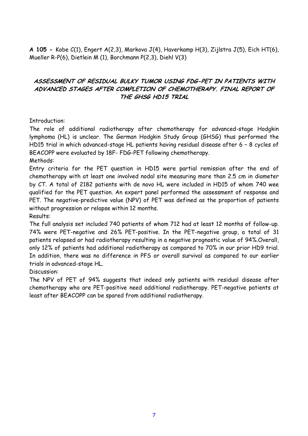**A 105 -** Kobe C(1), Engert A(2,3), Markova J(4), Haverkamp H(3), Zijlstra J(5), Eich HT(6), Mueller R-P(6), Dietlein M (1), Borchmann P(2,3), Diehl V(3)

# **ASSESSMENT OF RESIDUAL BULKY TUMOR USING FDG-PET IN PATIENTS WITH ADVANCED STAGES AFTER COMPLETION OF CHEMOTHERAPY. FINAL REPORT OF THE GHSG HD15 TRIAL**

#### Introduction:

The role of additional radiotherapy after chemotherapy for advanced-stage Hodgkin lymphoma (HL) is unclear. The German Hodgkin Study Group (GHSG) thus performed the HD15 trial in which advanced-stage HL patients having residual disease after 6 – 8 cycles of BEACOPP were evaluated by 18F- FDG-PET following chemotherapy.

#### Methods:

Entry criteria for the PET question in HD15 were partial remission after the end of chemotherapy with at least one involved nodal site measuring more than 2.5 cm in diameter by CT. A total of 2182 patients with de novo HL were included in HD15 of whom 740 wee qualified for the PET question. An expert panel performed the assessment of response and PET. The negative-predictive value (NPV) of PET was defined as the proportion of patients without progression or relapse within 12 months.

Results:

The full analysis set included 740 patients of whom 712 had at least 12 months of follow-up. 74% were PET-negative and 26% PET-positive. In the PET-negative group, a total of 31 patients relapsed or had radiotherapy resulting in a negative prognostic value of 94%.Overall, only 12% of patients had additional radiotherapy as compared to 70% in our prior HD9 trial. In addition, there was no difference in PFS or overall survival as compared to our earlier trials in advanced-stage HL.

#### Discussion:

The NPV of PET of 94% suggests that indeed only patients with residual disease after chemotherapy who are PET-positive need additional radiotherapy. PET-negative patients at least after BEACOPP can be spared from additional radiotherapy.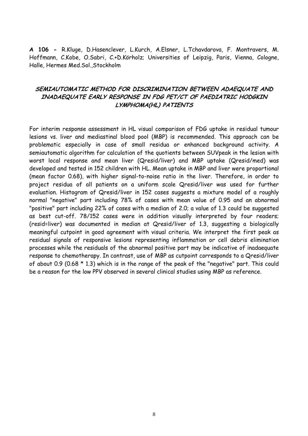**A 106 -** R.Kluge, D.Hasenclever, L.Kurch, A.Elsner, L.Tchavdarova, F. Montravers, M. Hoffmann, C.Kobe, O.Sabri, C.+D.Körholz; Universities of Leipzig, Paris, Vienna, Cologne, Halle, Hermes Med.Sol.,Stockholm

# **SEMIAUTOMATIC METHOD FOR DISCRIMINATION BETWEEN ADAEQUATE AND INADAEQUATE EARLY RESPONSE IN FDG PET/CT OF PAEDIATRIC HODGKIN LYMPHOMA(HL) PATIENTS**

For interim response assessment in HL visual comparison of FDG uptake in residual tumour lesions vs. liver and mediastinal blood pool (MBP) is recommended. This approach can be problematic especially in case of small residua or enhanced background activity. A semiautomatic algorithm for calculation of the quotients between SUVpeak in the lesion with worst local response and mean liver (Qresid/liver) and MBP uptake (Qresid/med) was developed and tested in 152 children with HL. Mean uptake in MBP and liver were proportional (mean factor 0.68), with higher signal-to-noise ratio in the liver. Therefore, in order to project residua of all patients on a uniform scale Qresid/liver was used for further evaluation. Histogram of Qresid/liver in 152 cases suggests a mixture model of a roughly normal "negative" part including 78% of cases with mean value of 0.95 and an abnormal "positive" part including 22% of cases with a median of 2.0; a value of 1.3 could be suggested as best cut-off. 78/152 cases were in addition visually interpreted by four readers; (resid=liver) was documented in median at Qresid/liver of 1.3, suggesting a biologically meaningful cutpoint in good agreement with visual criteria. We interpret the first peak as residual signals of responsive lesions representing inflammation or cell debris elimination processes while the residuals of the abnormal positive part may be indicative of inadaequate response to chemotherapy. In contrast, use of MBP as cutpoint corresponds to a Qresid/liver of about 0.9 (0.68  $*$  1.3) which is in the range of the peak of the "negative" part. This could be a reason for the low PPV observed in several clinical studies using MBP as reference.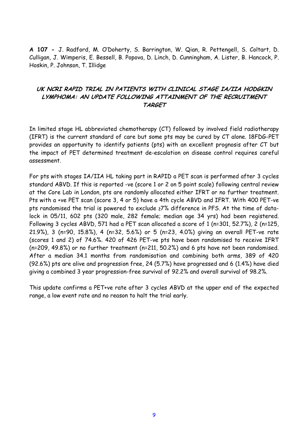**A 107 -** J. Radford, M. O'Doherty, S. Barrington, W. Qian, R. Pettengell, S. Coltart, D. Culligan, J. Wimperis, E. Bessell, B. Popova, D. Linch, D. Cunningham, A. Lister, B. Hancock, P. Hoskin, P. Johnson, T. Illidge

# **UK NCRI RAPID TRIAL IN PATIENTS WITH CLINICAL STAGE IA/IIA HODGKIN LYMPHOMA: AN UPDATE FOLLOWING ATTAINMENT OF THE RECRUITMENT TARGET**

In limited stage HL abbreviated chemotherapy (CT) followed by involved field radiotherapy (IFRT) is the current standard of care but some pts may be cured by CT alone. 18FDG-PET provides an opportunity to identify patients (pts) with an excellent prognosis after CT but the impact of PET determined treatment de-escalation on disease control requires careful assessment.

For pts with stages IA/IIA HL taking part in RAPID a PET scan is performed after 3 cycles standard ABVD. If this is reported -ve (score 1 or 2 on 5 point scale) following central review at the Core Lab in London, pts are randomly allocated either IFRT or no further treatment. Pts with a +ve PET scan (score 3, 4 or 5) have a 4th cycle ABVD and IFRT. With 400 PET-ve pts randomised the trial is powered to exclude ≥7% difference in PFS. At the time of datalock in 05/11, 602 pts (320 male, 282 female; median age 34 yrs) had been registered. Following 3 cycles ABVD, 571 had a PET scan allocated a score of 1 (n=301, 52.7%), 2 (n=125, 21.9%), 3 (n=90, 15.8%), 4 (n=32, 5.6%) or 5 (n=23, 4.0%) giving an overall PET-ve rate (scores 1 and 2) of 74.6%. 420 of 426 PET-ve pts have been randomised to receive IFRT (n=209, 49.8%) or no further treatment (n=211, 50.2%) and 6 pts have not been randomised. After a median 34.1 months from randomisation and combining both arms, 389 of 420 (92.6%) pts are alive and progression free, 24 (5.7%) have progressed and 6 (1.4%) have died giving a combined 3 year progression-free survival of 92.2% and overall survival of 98.2%.

This update confirms a PET+ve rate after 3 cycles ABVD at the upper end of the expected range, a low event rate and no reason to halt the trial early.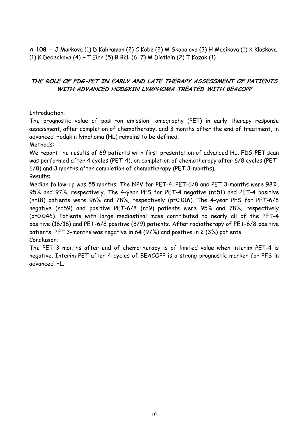**A 108 -** J Markova (1) D Kahraman (2) C Kobe (2) M Skopalova (3) H Mocikova (1) K Klaskova (1) K Dedeckova (4) HT Eich (5) B Böll (6, 7) M Dietlein (2) T Kozak (1)

# **THE ROLE OF FDG-PET IN EARLY AND LATE THERAPY ASSESSMENT OF PATIENTS WITH ADVANCED HODGKIN LYMPHOMA TREATED WITH BEACOPP**

#### Introduction:

The prognostic value of positron emission tomography (PET) in early therapy response assessment, after completion of chemotherapy, and 3 months after the end of treatment, in advanced Hodgkin lymphoma (HL) remains to be defined.

Methods:

We report the results of 69 patients with first presentation of advanced HL. FDG-PET scan was performed after 4 cycles (PET-4), on completion of chemotherapy after 6/8 cycles (PET-6/8) and 3 months after completion of chemotherapy (PET 3-months).

Results:

Median follow-up was 55 months. The NPV for PET-4, PET-6/8 and PET 3-months were 98%, 95% and 97%, respectively. The 4-year PFS for PET-4 negative (n=51) and PET-4 positive (n=18) patients were 96% and 78%, respectively (p=0.016). The 4-year PFS for PET-6/8 negative (n=59) and positive PET-6/8 (n=9) patients were 95% and 78%, respectively (p=0.046). Patients with large mediastinal mass contributed to nearly all of the PET-4 positive (16/18) and PET-6/8 positive (8/9) patients. After radiotherapy of PET-6/8 positive patients, PET 3-months was negative in 64 (97%) and positive in 2 (3%) patients. Conclusion:

The PET 3 months after end of chemotherapy is of limited value when interim PET-4 is negative. Interim PET after 4 cycles of BEACOPP is a strong prognostic marker for PFS in advanced HL.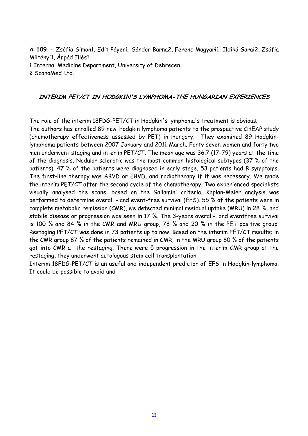**A 109 -** Zsófia Simon1, Edit Páyer1, Sándor Barna2, Ferenc Magyari1, Ildikó Garai2, Zsófia Miltényi1, Árpád Illés1 1 Internal Medicine Department, University of Debrecen 2 ScanoMed Ltd.

#### **INTERIM PET/CT IN HODGKIN'S LYMPHOMA-THE HUNGARIAN EXPERIENCES**

The role of the interim 18FDG-PET/CT in Hodgkin's lymphoma's treatment is obvious.

The authors has enrolled 89 new Hodgkin lymphoma patients to the prospective CHEAP study (chemotherapy effectiveness assessed by PET) in Hungary. They examined 89 Hodgkinlymphoma patients between 2007 January and 2011 March. Forty seven women and forty two men underwent staging and interim PET/CT. The mean age was 36.7 (17-79) years at the time of the diagnosis. Nodular sclerotic was the most common histological subtypes (37 % of the patients). 47 % of the patients were diagnosed in early stage, 53 patients had B symptoms. The first-line therapy was ABVD or EBVD, and radiotherapy if it was necessary. We made the interim PET/CT after the second cycle of the chemotherapy. Two experienced specialists visually analysed the scans, based on the Gallamini criteria. Kaplan-Meier analysis was performed to determine overall - and event-free survival (EFS). 55 % of the patients were in complete metabolic remission (CMR), we detected minimal residual uptake (MRU) in 28 %, and stabile disease or progression was seen in 17 %. The 3-years overall-, and eventfree survival is 100 % and 84 % in the CMR and MRU group, 78 % and 20 % in the PET positive group. Restaging PET/CT was done in 73 patients up to now. Based on the interim PET/CT results: in the CMR group 87 % of the patients remained in CMR, in the MRU group 80 % of the patients got into CMR at the restaging. There were 5 progression in the interim CMR group at the restaging, they underwent autologous stem cell transplantation.

Interim 18FDG-PET/CT is an useful and independent predictor of EFS in Hodgkin-lymphoma. It could be possible to avoid und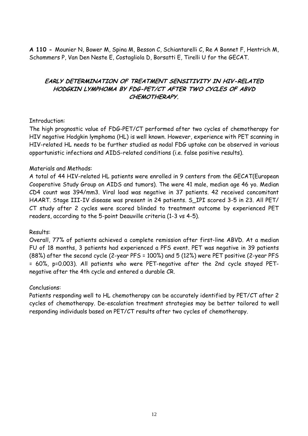**A 110 -** Mounier N, Bower M, Spina M, Besson C, Schiantarelli C, Re A Bonnet F, Hentrich M, Schommers P, Van Den Neste E, Costagliola D, Borsatti E, Tirelli U for the GECAT.

# **EARLY DETERMINATION OF TREATMENT SENSITIVITY IN HIV-RELATED HODGKIN LYMPHOMA BY FDG-PET/CT AFTER TWO CYCLES OF ABVD CHEMOTHERAPY.**

#### Introduction:

The high prognostic value of FDG-PET/CT performed after two cycles of chemotherapy for HIV negative Hodgkin lymphoma (HL) is well known. However, experience with PET scanning in HIV-related HL needs to be further studied as nodal FDG uptake can be observed in various opportunistic infections and AIDS-related conditions (i.e. false positive results).

#### Materials and Methods:

A total of 44 HIV-related HL patients were enrolled in 9 centers from the GECAT(European Cooperative Study Group on AIDS and tumors). The were 41 male, median age 46 yo. Median CD4 count was 394/mm3. Viral load was negative in 37 patients. 42 received concomitant HAART. Stage III-IV disease was present in 24 patients. S\_IPI scored 3-5 in 23. All PET/ CT study after 2 cycles were scored blinded to treatment outcome by experienced PET readers, according to the 5-point Deauville criteria (1-3 vs 4-5).

# Results:

Overall, 77% of patients achieved a complete remission after first-line ABVD. At a median FU of 18 months, 3 patients had experienced a PFS event. PET was negative in 39 patients (88%) after the second cycle (2-year PFS = 100%) and 5 (12%) were PET positive (2-year PFS = 60%, p=0.003). All patients who were PET-negative after the 2nd cycle stayed PETnegative after the 4th cycle and entered a durable CR.

#### Conclusions:

Patients responding well to HL chemotherapy can be accurately identified by PET/CT after 2 cycles of chemotherapy. De-escalation treatment strategies may be better tailored to well responding individuals based on PET/CT results after two cycles of chemotherapy.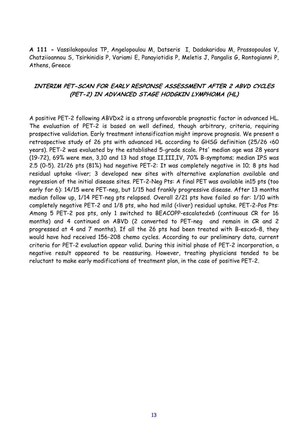**A 111 -** Vassilakopoulos TP, Angelopoulou M, Datseris I, Dadakaridou M, Prassopoulos V, Chatziioannou S, Tsirkinidis P, Variami E, Panayiotidis P, Meletis J, Pangalis G, Rontogianni P, Athens, Greece

## **INTERIM PET-SCAN FOR EARLY RESPONSE ASSESSMENT AFTER 2 ABVD CYCLES (PET-2) IN ADVANCED STAGE HODGKIN LYMPHOMA (HL)**

A positive PET-2 following ABVDx2 is a strong unfavorable prognostic factor in advanced HL. The evaluation of PET-2 is based on well defined, though arbitrary, criteria, requiring prospective validation. Early treatment intensification might improve prognosis. We present a retrospective study of 26 pts with advanced HL according to GHSG definition (25/26 <60 years). PET-2 was evaluated by the established 5-grade scale. Pts' median age was 28 years (19-72), 69% were men, 3,10 and 13 had stage II,III,IV, 70% B-symptoms; median IPS was 2.5 (0-5). 21/26 pts (81%) had negative PET-2: It was completely negative in 10; 8 pts had residual uptake <liver; 3 developed new sites with alternative explanation available and regression of the initial disease sites. PET-2-Neg Pts: A final PET was available in15 pts (too early for 6): 14/15 were PET-neg, but 1/15 had frankly progressive disease. After 13 months median follow up, 1/14 PET-neg pts relapsed. Overall 2/21 pts have failed so far: 1/10 with completely negative PET-2 and 1/8 pts, who had mild (<liver) residual uptake. PET-2-Pos Pts: Among 5 PET-2 pos pts, only 1 switched to BEACOPP-escalatedx6 (continuous CR for 16 months) and 4 continued on ABVD (2 converted to PET-neg and remain in CR and 2 progressed at 4 and 7 months). If all the 26 pts had been treated with B-escx6-8, they would have had received 156-208 chemo cycles. According to our preliminary data, current criteria for PET-2 evaluation appear valid. During this initial phase of PET-2 incorporation, a negative result appeared to be reassuring. However, treating physicians tended to be reluctant to make early modifications of treatment plan, in the case of positive PET-2.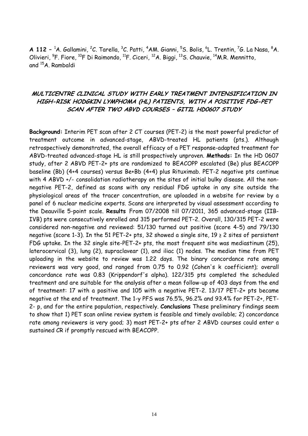**A 112** – <sup>1</sup>A. Gallamini, <sup>2</sup>C. Tarella, <sup>3</sup>C. Patti, <sup>4</sup>AM. Gianni, <sup>5</sup>S. Bolis, <sup>6</sup>L. Trentin, <sup>7</sup>G. La Nasa, <sup>8</sup>A. Olivieri, <sup>9</sup>F. Fiore, <sup>10</sup>F Di Raimondo, <sup>11</sup>F. Ciceri, <sup>12</sup>A. Biggi, <sup>13</sup>S. Chauvie, <sup>14</sup>M.R. Mennitto, and <sup>15</sup>A. Rambaldi

# **MULTICENTRE CLINICAL STUDY WITH EARLY TREATMENT INTENSIFICATION IN HIGH-RISK HODGKIN LYMPHOMA (HL) PATIENTS, WITH A POSITIVE FDG-PET SCAN AFTER TWO ABVD COURSES – GITIL HD0607 STUDY**

**Background:** Interim PET scan after 2 CT courses (PET-2) is the most powerful predictor of treatment outcome in advanced-stage, ABVD-treated HL patients (pts.). Although retrospectively demonstrated, the overall efficacy of a PET response-adapted treatment for ABVD-treated advanced-stage HL is still prospectively unproven. **Methods:** In the HD 0607 study, after 2 ABVD PET-2+ pts are randomized to BEACOPP escalated (Be) plus BEACOPP baseline (Bb) (4+4 courses) versus Be+Bb (4+4) plus Rituximab. PET-2 negative pts continue with 4 ABVD +/- consolidation radiotherapy on the sites of initial bulky disease. All the nonnegative PET-2, defined as scans with any residual FDG uptake in any site outside the physiological areas of the tracer concentration, are uploaded in a website for review by a panel of 6 nuclear medicine experts. Scans are interpreted by visual assessment according to the Deauville 5-point scale. **Results** From 07/2008 till 07/2011, 365 advanced-stage (IIB-IVB) pts were consecutively enrolled and 315 performed PET-2. Overall, 130/315 PET-2 were considered non-negative and reviewed: 51/130 turned out positive (score 4-5) and 79/130 negative (score 1-3). In the 51 PET-2+ pts, 32 showed a single site, 19 ≥ 2 sites of persistent FDG uptake. In the 32 single site-PET-2+ pts, the most frequent site was mediastinum (25), laterocervical (3), lung (2), supraclavear (1), and iliac (1) nodes. The median time from PET uploading in the website to review was 1.22 days. The binary concordance rate among reviewers was very good, and ranged from 0.75 to 0.92 (Cohen's k coefficient); overall concordance rate was 0.83 (Krippendorf's alpha). 122/315 pts completed the scheduled treatment and are suitable for the analysis after a mean follow-up of 403 days from the end of treatment: 17 with a positive and 105 with a negative PET-2. 13/17 PET-2+ pts became negative at the end of treatment. The 1-y PFS was 76.5%, 96.2% and 93.4% for PET-2+, PET-2- p, and for the entire population, respectively. **Conclusions** These preliminary findings seem to show that 1) PET scan online review system is feasible and timely available; 2) concordance rate among reviewers is very good; 3) most PET-2+ pts after 2 ABVD courses could enter a sustained CR if promptly rescued with BEACOPP.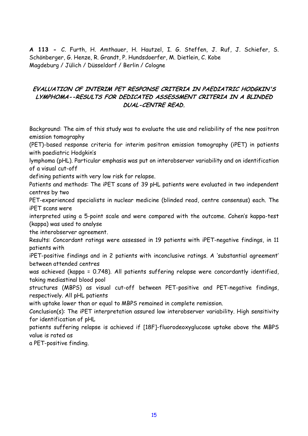**A 113 -** C. Furth, H. Amthauer, H. Hautzel, I. G. Steffen, J. Ruf, J. Schiefer, S. Schönberger, G. Henze, R. Grandt, P. Hundsdoerfer, M. Dietlein, C. Kobe Magdeburg / Jülich / Düsseldorf / Berlin / Cologne

# **EVALUATION OF INTERIM PET RESPONSE CRITERIA IN PAEDIATRIC HODGKIN'S LYMPHOMA--RESULTS FOR DEDICATED ASSESSMENT CRITERIA IN A BLINDED DUAL-CENTRE READ.**

Background: The aim of this study was to evaluate the use and reliability of the new positron emission tomography

(PET)-based response criteria for interim positron emission tomography (iPET) in patients with paediatric Hodgkin's

lymphoma (pHL). Particular emphasis was put on interobserver variability and on identification of a visual cut-off

defining patients with very low risk for relapse.

Patients and methods: The iPET scans of 39 pHL patients were evaluated in two independent centres by two

PET-experienced specialists in nuclear medicine (blinded read, centre consensus) each. The iPET scans were

interpreted using a 5-point scale and were compared with the outcome. Cohen's kappa-test (kappa) was used to analyse

the interobserver agreement.

Results: Concordant ratings were assessed in 19 patients with iPET-negative findings, in 11 patients with

iPET-positive findings and in 2 patients with inconclusive ratings. A 'substantial agreement' between attended centres

was achieved (kappa = 0.748). All patients suffering relapse were concordantly identified, taking mediastinal blood pool

structures (MBPS) as visual cut-off between PET-positive and PET-negative findings, respectively. All pHL patients

with uptake lower than or equal to MBPS remained in complete remission.

Conclusion(s): The iPET interpretation assured low interobserver variability. High sensitivity for identification of pHL

patients suffering relapse is achieved if [18F]-fluorodeoxyglucose uptake above the MBPS value is rated as

a PET-positive finding.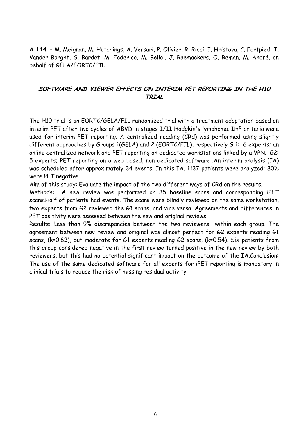**A 114 -** M. Meignan, M. Hutchings, A. Versari, P. Olivier, R. Ricci, I. Hristova, C. Fortpied, T. Vander Borght, S. Bardet, M. Federico, M. Bellei, J. Raemaekers, O. Reman, M. André. on behalf of GELA/EORTC/FIL

# **SOFTWARE AND VIEWER EFFECTS ON INTERIM PET REPORTING IN THE H10 TRIAL**

The H10 trial is an EORTC/GELA/FIL randomized trial with a treatment adaptation based on interim PET after two cycles of ABVD in stages I/II Hodgkin's lymphoma. IHP criteria were used for interim PET reporting. A centralized reading (CRd) was performed using slightly different approaches by Groups 1(GELA) and 2 (EORTC/FIL), respectively G 1: 6 experts; an online centralized network and PET reporting on dedicated workstations linked by a VPN. G2: 5 experts; PET reporting on a web based, non-dedicated software .An interim analysis (IA) was scheduled after approximately 34 events. In this IA, 1137 patients were analyzed; 80% were PET negative.

Aim of this study: Evaluate the impact of the two different ways of CRd on the results.

Methods: A new review was performed on 85 baseline scans and corresponding iPET scans.Half of patients had events. The scans were blindly reviewed on the same workstation, two experts from G2 reviewed the G1 scans, and vice versa. Agreements and differences in PET positivity were assessed between the new and original reviews.

Results: Less than 9% discrepancies between the two reviewers within each group. The agreement between new review and original was almost perfect for G2 experts reading G1 scans, (k=0.82), but moderate for G1 experts reading G2 scans, (k=0.54). Six patients from this group considered negative in the first review turned positive in the new review by both reviewers, but this had no potential significant impact on the outcome of the IA.Conclusion: The use of the same dedicated software for all experts for iPET reporting is mandatory in clinical trials to reduce the risk of missing residual activity.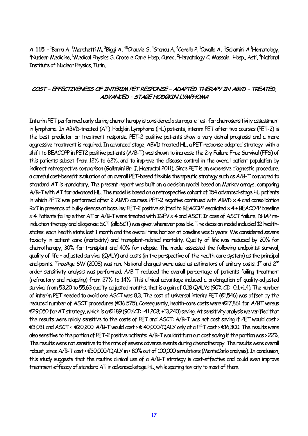**A 115 - <sup>1</sup>Borra A, <sup>2</sup>Marchetti M, <sup>3</sup>Biggi A, <sup>45</sup>Chauvie S, <sup>4</sup>Stancu A, <sup>4</sup>Cerello P, <sup>1</sup>Cavallo A, <sup>1</sup>Gallamini A <sup>1</sup>Hematology,** <sup>3</sup>Nuclear Medicine, <sup>5</sup>Medical Physics S. Croce e Carle Hosp. Cuneo, <sup>2</sup>Hematology C. Massaia Hosp., Asti, <sup>4</sup>National Institute of Nuclear Physics, Turin,

#### **COST – EFFECTIVENESS OF INTERIM PET RESPONSE – ADAPTED THERAPY IN ABVD – TREATED, ADVANCED – STAGE HODGKIN LYMPHOMA**

Interim PET performed early during chemotherapy is considered a surrogate test for chemosensitivity assessment in lymphoma. In ABVD-treated (AT) Hodgkin Lymphoma (HL) patients, interim PET after two courses (PET-2) is the best predictor or treatment response. PET-2 positive patients show a very dismal prognosis and a more aggressive treatment is required. In advanced-stage, ABVD treated HL, a PET response-adapted strategy with a shift to BEACOPP in PET2 positive patients (A/B-T) was shown to increase the 2-y Failure Free Survival (FFS) of this patients subset from 12% to 62%, and to improve the disease control in the overall patient population by indirect retrospective comparison (Gallamini Br. J. Haematol 2011). Since PET is an expensive diagnostic procedure, a careful cost-benefit evaluation of an overall PET-based flexible therapeutic strategy such as A/B-T compared to standard AT is mandatory. The present report was built on a decision model based on Markov arrays, comparing A/B-T with AT for advanced HL. The model is based on a retrospective cohort of 154 advanced-stage HL patients in which PET2 was performed after 2 ABVD courses. PET-2 negative continued with ABVD x 4 and consolidation RxT in presence of bulky disease at baseline; PET-2 positive shifted to BEACOPP escalated x 4 + BEACOPP baseline x 4. Patients failing either AT or A/B-T were treated with IGEV x 4 and ASCT. In case of ASCT failure, DHAP reinduction therapy and allogeneic SCT (alloSCT) was given whenever possible. The decision model included 12 healthstates: each health state last 1 month and the overall time horizon at baseline was 5 years. We considered severe toxicity in patient care (morbidity) and transplant-related mortality. Quality of life was reduced by 20% for chemotherapy, 30% for transplant and 40% for relapse. The model assessed the following endpoints: survival, quality of life – adjusted survival (QALY) and costs (in the perspective of the health-care system) as the principal end-points. TreeAge SW (2008) was run. National charges were used as estimators of unitary costs.  $1<sup>st</sup>$  and  $2<sup>rd</sup>$ order sensitivity analysis was performed. A/B-T reduced the overall percentage of patients failing treatment (refractory and relapsing) from 27% to 14%. This clinical advantage induced a prolongation of quality-adjusted survival from 53.20 to 55.63 quality-adjusted months, that is a gain of 0.18 QALYs (90% CI: -0.1;+1.4). The number of interim PET needed to avoid one ASCT was 8.3. The cost of universal interim PET (€1,546) was offset by the reduced number of ASCT procedures (€36,575). Consequently, health-care costs were €27,861 for A/BT versus €29,050 for AT strategy, which is a €1189 (90%CI: -41,208; +13,240) saving. At sensitivity analysis we verified that the results were mildly sensitive to the costs of PET and ASCT: A/B-T was not cost saving if PET would cost > €3,031 and ASCT < €20,200. A/B-T would cost > € 40,000/QALY only at a PET cost > €16,300. The results were also sensitive to the portion of PET-2 positive patients: A/B-T wouldn't turn out cost saving if the portion was > 22%. The results were not sensitive to the rate of severe adverse events during chemotherapy. The results were overall robust, since A/B-T cost < €30,000/QALY in > 80% out of 100,000 simulations (MonteCarlo analysis). In conclusion, this study suggests that the routine clinical use of a A/B-T strategy is cost-effective and could even improve treatment efficacy of standard AT in advanced-stage HL, while sparing toxicity to most of them.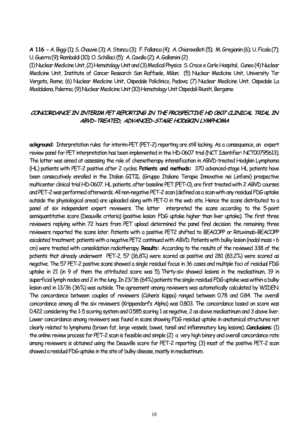**A 116 -** A. Biggi (1); S. Chauvie (3); A. Stancu (3); F. Fallanca (4); A. Chiaravalloti (5); M. Gregianin (6); U. Ficola (7); U. Guerra (9); Rambaldi (10); O. Schillaci (5); A. Cavallo (2); A. Gallamini (2)

(1) Nuclear Medicine Unit, (2) Hematology Unit and (3) Medical Physics S. Croce e Carle Hospital, Cuneo (4) Nuclear Medicine Unit, Institute of Cancer Research San Raffaele, Milan; (5) Nuclear Medicine Unit, University Tor Vergata, Rome; (6) Nuclear Medicine Unit, Ospedale Policlinico, Padova; (7) Nuclear Medicine Unit, Ospedale La Maddalena, Palermo; (9) Nuclear Medicine Unit (10) Hematology Unit Ospedali Riuniti, Bergamo

# **CONCORDANCE IN INTERIM PET REPORTING IN THE PROSPECTIVE HD 0607 CLINICAL TRIAL IN ABVD-TREATED, ADVANCED-STAGE HODGKIN LYMPHOMA**

**ackground:** Interpretation rules for interim-PET (PET-2) reporting are still lacking. As a consequence, an expert review panel for PET interpretation has been implemented in the HD-0607 trial (NCT Identifier: NCT00795613). The latter was aimed at assessing the role of chemotherapy intensification in ABVD-treated Hodgkin Lymphoma (HL) patients with PET-2 positive after 2 cycles. **Patients and methods:** 370 advanced-stage HL patients have been consecutively enrolled in the Italian GITIL (Gruppo Italiano Terapie Innovative nei Linfomi) prospective multicenter clinical trial HD-0607. HL patients, after baseline PET (PET-0), are first treated with 2 ABVD courses and PET-2 was performed afterwards. All non-negative PET-2 scan (defined as a scan with any residual FDG uptake outside the physiological areas) are uploaded along with PET-0 in the web site. Hence the scans distributed to a panel of six independent expert reviewers. The latter interpreted the scans according to the 5-point semiquantitative score (Deauville criteria) (positive lesion: FDG uptake higher than liver uptake). The first three reviewers replying within 72 hours from PET upload determined the panel final decision; the remaining three reviewers reported the scans later. Patients with a positive PET2 shifted to BEACOPP or Rituximab-BEACOPP escalated treatment; patients with a negative PET2 continued with ABVD. Patients with bulky lesion (nodal mass > 6 cm) were treated with consolidation radiotherapy. **Results:** According to the results of the reviewed 338 of the patients that already underwent PET-2, 57 (16,8%) were scored as positive and 281 (83,2%) were scored as negative. The 57 PET-2 positive scans showed a single residual focus in 36 cases and multiple foci of residual FDG uptake in 21 (in 9 of them the attributed score was 5). Thirty-six showed lesions in the mediastinum, 19 in superficial lymph nodes and 2 in the lung. In 23/36 (64%) patients the single residual FDG uptake was within a bulky lesion and in 13/36 (36%) was outside. The agreement among reviewers was automatically calculated by WIDEN. The concordance between couples of reviewers (Cohen's Kappa) ranged between 0.78 and 0.84. The overall concordance among all the six reviewers (Krippendorf's Alpha) was 0.803. The concordance based on score was 0.422 considering the 1-5 scoring system and 0.585 scoring 1 as negative, 2 as above mediastinum and 3 above liver. Lower concordance among reviewers was found in scans showing FDG residual uptake in anatomical structures not clearly related to lymphoma (brown fat, large vessels, bowel, tonsil and inflammatory lung lesions). **Conclusions**: (1) the online review process for PET-2 scan is feasible and simple (2) a very high binary and overall concordance rate among reviewers is obtained using the Deauville score for PET-2 reporting; (3) most of the positive PET-2 scan showed a residual FDG uptake in the site of bulky disease, mostly in mediastinum.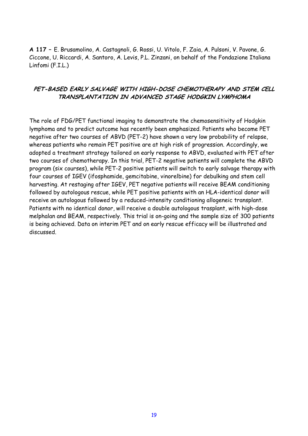**A 117 –** E. Brusamolino, A. Castagnoli, G. Rossi, U. Vitolo, F. Zaia, A. Pulsoni, V. Pavone, G. Ciccone, U. Riccardi, A. Santoro, A. Levis, P.L. Zinzani, on behalf of the Fondazione Italiana Linfomi (F.I.L.)

# **PET-BASED EARLY SALVAGE WITH HIGH-DOSE CHEMOTHERAPY AND STEM CELL TRANSPLANTATION IN ADVANCED STAGE HODGKIN LYMPHOMA**

The role of FDG/PET functional imaging to demonstrate the chemosensitivity of Hodgkin lymphoma and to predict outcome has recently been emphasized. Patients who become PET negative after two courses of ABVD (PET-2) have shown a very low probability of relapse, whereas patients who remain PET positive are at high risk of progression. Accordingly, we adopted a treatment strategy tailored on early response to ABVD, evaluated with PET after two courses of chemotherapy. In this trial, PET-2 negative patients will complete the ABVD program (six courses), while PET-2 positive patients will switch to early salvage therapy with four courses of IGEV (ifosphamide, gemcitabine, vinorelbine) for debulking and stem cell harvesting. At restaging after IGEV, PET negative patients will receive BEAM conditioning followed by autologous rescue, while PET positive patients with an HLA-identical donor will receive an autologous followed by a reduced-intensity conditioning allogeneic transplant. Patients with no identical donor, will receive a double autologous trasplant, with high-dose melphalan and BEAM, respectively. This trial is on-going and the sample size of 300 patients is being achieved. Data on interim PET and on early rescue efficacy will be illustrated and discussed.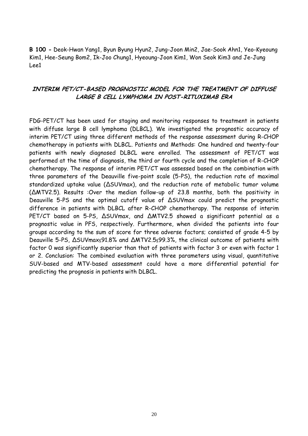**B 100 -** Deok-Hwan Yang1, Byun Byung Hyun2, Jung-Joon Min2, Jae-Sook Ahn1, Yeo-Kyeoung Kim1, Hee-Seung Bom2, Ik-Joo Chung1, Hyeoung-Joon Kim1, Won Seok Kim3 and Je-Jung Lee1

## **INTERIM PET/CT-BASED PROGNOSTIC MODEL FOR THE TREATMENT OF DIFFUSE LARGE B CELL LYMPHOMA IN POST-RITUXIMAB ERA**

FDG-PET/CT has been used for staging and monitoring responses to treatment in patients with diffuse large B cell lymphoma (DLBCL). We investigated the prognostic accuracy of interim PET/CT using three different methods of the response assessment during R-CHOP chemotherapy in patients with DLBCL. Patients and Methods: One hundred and twenty-four patients with newly diagnosed DLBCL were enrolled. The assessment of PET/CT was performed at the time of diagnosis, the third or fourth cycle and the completion of R-CHOP chemotherapy. The response of interim PET/CT was assessed based on the combination with three parameters of the Deauville five-point scale (5-PS), the reduction rate of maximal standardized uptake value (∆SUVmax), and the reduction rate of metabolic tumor volume (∆MTV2.5). Results :Over the median follow-up of 23.8 months, both the positivity in Deauville 5-PS and the optimal cutoff value of ∆SUVmax could predict the prognostic difference in patients with DLBCL after R-CHOP chemotherapy. The response of interim PET/CT based on 5-PS,  $\triangle$ SUVmax, and  $\triangle$ MTV2.5 showed a significant potential as a prognostic value in PFS, respectively. Furthermore, when divided the patients into four groups according to the sum of score for three adverse factors; consisted of grade 4-5 by Deauville 5-PS, ∆SUVmax≤91.8% and ∆MTV2.5≤99.3%, the clinical outcome of patients with factor 0 was significantly superior than that of patients with factor 3 or even with factor 1 or 2. Conclusion: The combined evaluation with three parameters using visual, quantitative SUV-based and MTV-based assessment could have a more differential potential for predicting the prognosis in patients with DLBCL.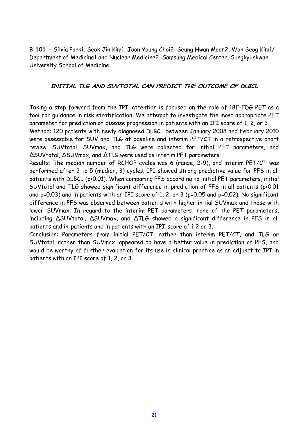**B 101 -** Silvia Park1, Seok Jin Kim1, Joon Young Choi2, Seung Hwan Moon2, Won Seog Kim1/ Department of Medicine1 and Nuclear Medicine2, Samsung Medical Center, Sungkyunkwan University School of Medicine

## **INITIAL TLG AND SUVTOTAL CAN PREDICT THE OUTCOME OF DLBCL**

Taking a step forward from the IPI, attention is focused on the role of 18F-FDG PET as a tool for guidance in risk stratification. We attempt to investigate the most appropriate PET parameter for prediction of disease progression in patients with an IPI score of 1, 2, or 3.

Method: 120 patients with newly diagnosed DLBCL between January 2008 and February 2010 were assessable for SUV and TLG at baseline and interim PET/CT in a retrospective chart review. SUVtotal, SUVmax, and TLG were collected for initial PET parameters, and ∆SUVtotal, ∆SUVmax, and ∆TLG were used as interim PET parameters.

Results: The median number of RCHOP cycles was 6 (range, 2-9), and interim PET/CT was performed after 2 to 5 (median, 3) cycles. IPI showed strong predictive value for PFS in all patients with DLBCL (p<0.01). When comparing PFS according to initial PET parameters, initial SUVtotal and TLG showed significant difference in prediction of PFS in all patients (p<0.01 and p=0.03) and in patients with an IPI score of 1, 2, or 3 (p=0.05 and p=0.02). No significant difference in PFS was observed between patients with higher initial SUVmax and those with lower SUVmax. In regard to the interim PET parameters, none of the PET parameters, including ∆SUVtotal, ∆SUVmax, and ∆TLG showed a significant difference in PFS in all patients and in patients and in patients with an IPI score of 1,2 or 3.

Conclusion: Parameters from initial PET/CT, rather than interim PET/CT, and TLG or SUVtotal, rather than SUVmax, appeared to have a better value in prediction of PFS, and would be worthy of further evaluation for its use in clinical practice as an adjunct to IPI in patients with an IPI score of 1, 2, or 3.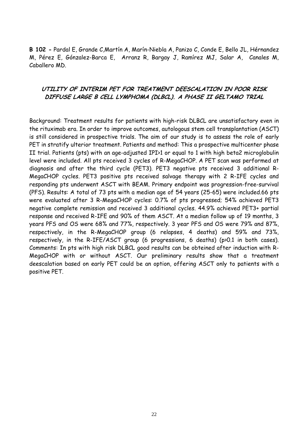**B 102 -** Pardal E, Grande C,Martín A, Marín-Niebla A, Panizo C, Conde E, Bello JL, Hérnandez M, Pérez E, Gónzalez-Barca E, Arranz R, Bargay J, Ramírez MJ, Salar A, Canales M, Caballero MD.

# **UTILITY OF INTERIM PET FOR TREATMENT DEESCALATION IN POOR RISK DIFFUSE LARGE B CELL LYMPHOMA (DLBCL). A PHASE II GELTAMO TRIAL**

Background: Treatment results for patients with high-risk DLBCL are unsatisfactory even in the rituximab era. In order to improve outcomes, autologous stem cell transplantation (ASCT) is still considered in prospective trials. The aim of our study is to assess the role of early PET in stratify ulterior treatment. Patients and method: This a prospective multicenter phase II trial. Patients (pts) with an age-adjusted IPI>1 or equal to 1 with high beta2 microglobulin level were included. All pts received 3 cycles of R-MegaCHOP. A PET scan was performed at diagnosis and after the third cycle (PET3). PET3 negative pts received 3 additional R-MegaCHOP cycles. PET3 positive pts received salvage therapy with 2 R-IFE cycles and responding pts underwent ASCT with BEAM. Primary endpoint was progression-free-survival (PFS). Results: A total of 73 pts with a median age of 54 years (25-65) were included.66 pts were evaluated after 3 R-MegaCHOP cycles: 0.7% of pts progressed; 54% achieved PET3 negative complete remission and received 3 additional cycles. 44.9% achieved PET3+ partial response and received R-IFE and 90% of them ASCT. At a median follow up of 19 months, 3 years PFS and OS were 68% and 77%, respectively. 3 year PFS and OS were 79% and 87%, respectively, in the R-MegaCHOP group (6 relapses, 4 deaths) and 59% and 73%, respectively, in the R-IFE/ASCT group (6 progressions, 6 deaths) (p>0.1 in both cases). Comments: In pts with high risk DLBCL good results can be obteined after induction with R-MegaCHOP with or without ASCT. Our preliminary results show that a treatment deescalation based on early PET could be an option, offering ASCT only to patients with a positive PET.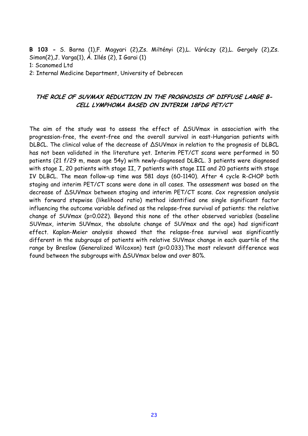**B 103 -** S. Barna (1),F. Magyari (2),Zs. Miltényi (2),L. Váróczy (2),L. Gergely (2),Zs. Simon(2),J. Varga(1), Á. Illés (2), I Garai (1) 1: Scanomed Ltd 2: Internal Medicine Department, University of Debrecen

# **THE ROLE OF SUVMAX REDUCTION IN THE PROGNOSIS OF DIFFUSE LARGE B-CELL LYMPHOMA BASED ON INTERIM 18FDG PET/CT**

The aim of the study was to assess the effect of ∆SUVmax in association with the progression-free, the event-free and the overall survival in east-Hungarian patients with DLBCL. The clinical value of the decrease of ∆SUVmax in relation to the prognosis of DLBCL has not been validated in the literature yet. Interim PET/CT scans were performed in 50 patients (21 f/29 m, mean age 54y) with newly-diagnosed DLBCL. 3 patients were diagnosed with stage I, 20 patients with stage II, 7 patients with stage III and 20 patients with stage IV DLBCL. The mean follow-up time was 581 days (60-1140). After 4 cycle R-CHOP both staging and interim PET/CT scans were done in all cases. The assessment was based on the decrease of ∆SUVmax between staging and interim PET/CT scans. Cox regression analysis with forward stepwise (likelihood ratio) method identified one single significant factor influencing the outcome variable defined as the relapse-free survival of patients: the relative change of SUVmax (p=0.022). Beyond this none of the other observed variables (baseline SUVmax, interim SUVmax, the absolute change of SUVmax and the age) had significant effect. Kaplan-Meier analysis showed that the relapse-free survival was significantly different in the subgroups of patients with relative SUVmax change in each quartile of the range by Breslow (Generalized Wilcoxon) test (p=0.033).The most relevant difference was found between the subgroups with ∆SUVmax below and over 80%.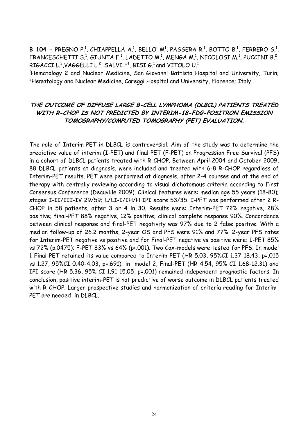**B 104 -** PREGNO P.<sup>1</sup>, CHIAPPELLA A.<sup>1</sup>, BELLO' M<sup>1</sup>, PASSERA R.<sup>1</sup>, BOTTO B.<sup>1</sup>, FERRERO S.<sup>1</sup>, FRANCESCHETTI S.<sup>1</sup>, GIUNTA F.<sup>1</sup>, LADETTO M.<sup>1</sup>, MENGA M.<sup>1</sup>, NICOLOSI M.<sup>1</sup>, PUCCINI B.<sup>2</sup>, RIGACCI L. $^2$ ,VAGGELLI L. $^2$ , SALVI F $^1$ , BISI G. $^1$  and VITOLO U. $^1$ 

<sup>1</sup>Hematology 2 and Nuclear Medicine, San Giovanni Battista Hospital and University, Turin; <sup>2</sup>Hematology and Nuclear Medicine, Careggi Hospital and University, Florence; Italy.

# **THE OUTCOME OF DIFFUSE LARGE B-CELL LYMPHOMA (DLBCL) PATIENTS TREATED WITH R-CHOP IS NOT PREDICTED BY INTERIM-18-FDG-POSITRON EMISSION TOMOGRAPHY/COMPUTED TOMOGRAPHY (PET) EVALUATION.**

The role of Interim-PET in DLBCL is controversial. Aim of the study was to determine the predictive value of interim (I-PET) and final PET (F-PET) on Progression Free Survival (PFS) in a cohort of DLBCL patients treated with R-CHOP. Between April 2004 and October 2009, 88 DLBCL patients at diagnosis, were included and treated with 6-8 R-CHOP regardless of Interim-PET results. PET were performed at diagnosis, after 2-4 courses and at the end of therapy with centrally reviewing according to visual dichotomous criteria according to First Consensus Conference (Deauville 2009). Clinical features were: median age 55 years (18-80); stages I-II/III-IV 29/59; L/LI-I/IH/H IPI score 53/35. I-PET was performed after 2 R-CHOP in 58 patients, after 3 or 4 in 30. Results were: Interim-PET 72% negative, 28% positive; final-PET 88% negative, 12% positive; clinical complete response 90%. Concordance between clinical response and final-PET negativity was 97% due to 2 false positive. With a median follow-up of 26.2 months, 2-year OS and PFS were 91% and 77%. 2-year PFS rates for Interim-PET negative vs positive and for Final-PET negative vs positive were: I-PET 85% vs 72% (p.0475); F-PET 83% vs 64% (p<.001). Two Cox-models were tested for PFS. In model 1 Final-PET retained its value compared to Interim-PET (HR 5.03, 95%CI 1.37-18.43, p=.015 vs 1.27, 95%CI 0.40-4.03, p=.691); in model 2, Final-PET (HR 4.54, 95% CI 1.68-12.31) and IPI score (HR 5.36, 95% CI 1.91-15.05, p=.001) remained independent prognostic factors. In conclusion, positive interim-PET is not predictive of worse outcome in DLBCL patients treated with R-CHOP. Larger prospective studies and harmonization of criteria reading for Interim-PET are needed in DLBCL.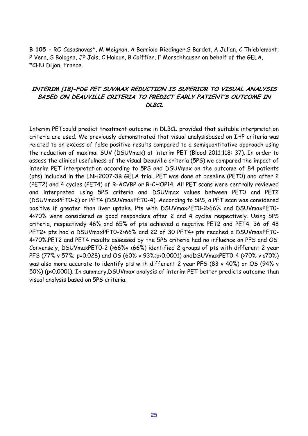**B 105 -** RO Casasnovas\*, M Meignan, A Berriolo-Riedinger,S Bardet, A Julian, C Thieblemont, P Vera, S Bologna, JP Jais, C Haioun, B Coiffier, F Morschhauser on behalf of the GELA, \*CHU Dijon, France.

# **INTERIM [18]-FDG PET SUVMAX REDUCTION IS SUPERIOR TO VISUAL ANALYSIS BASED ON DEAUVILLE CRITERIA TO PREDICT EARLY PATIENT'S OUTCOME IN DLBCL**

Interim PETcould predict treatment outcome in DLBCL provided that suitable interpretation criteria are used. We previously demonstrated that visual analysisbased on IHP criteria was related to an excess of false positive results compared to a semiquantitative approach using the reduction of maximal SUV (DSUVmax) at interim PET (Blood 2011;118: 37). In order to assess the clinical usefulness of the visual Deauville criteria (5PS) we compared the impact of interim PET interpretation according to 5PS and DSUVmax on the outcome of 84 patients (pts) included in the LNH2007-3B GELA trial. PET was done at baseline (PET0) and after 2 (PET2) and 4 cycles (PET4) of R-ACVBP or R-CHOP14. All PET scans were centrally reviewed and interpreted using 5PS criteria and DSUVmax values between PET0 and PET2 (DSUVmaxPET0-2) or PET4 (DSUVmaxPET0-4). According to 5PS, a PET scan was considered positive if greater than liver uptake. Pts with DSUVmaxPET0-2>66% and DSUVmaxPET0- 4>70% were considered as good responders after 2 and 4 cycles respectively. Using 5PS criteria, respectively 46% and 65% of pts achieved a negative PET2 and PET4. 36 of 48 PET2+ pts had a DSUVmaxPET0-2>66% and 22 of 30 PET4+ pts reached a DSUVmaxPET0- 4>70%.PET2 and PET4 results assessed by the 5PS criteria had no influence on PFS and OS. Conversely, DSUVmaxPET0-2 (>66%v ≤66%) identified 2 groups of pts with different 2 year PFS (77% v 57%; p=0.028) and OS (60% v 93%;p<0.0001) andDSUVmaxPET0-4 (>70% v ≤70%) was also more accurate to identify pts with different 2 year PFS (83 v 40%) or OS (94% v 50%) (p<0.0001). In summary,DSUVmax analysis of interim PET better predicts outcome than visual analysis based on 5PS criteria.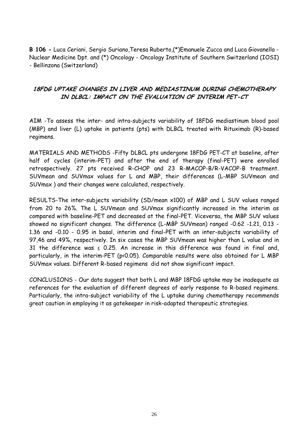**B 106 -** Luca Ceriani, Sergio Suriano,Teresa Ruberto,(\*)Emanuele Zucca and Luca Giovanella - Nuclear Medicine Dpt. and (\*) Oncology - Oncology Institute of Southern Switzerland (IOSI) - Bellinzona (Switzerland)

# **18FDG UPTAKE CHANGES IN LIVER AND MEDIASTINUM DURING CHEMOTHERAPY IN DLBCL: IMPACT ON THE EVALUATION OF INTERIM PET-CT**

AIM -To assess the inter- and intra-subjects variability of 18FDG mediastinum blood pool (MBP) and liver (L) uptake in patients (pts) with DLBCL treated with Rituximab (R)-based regimens.

MATERIALS AND METHODS -Fifty DLBCL pts undergone 18FDG PET-CT at baseline, after half of cycles (interim-PET) and after the end of therapy (final-PET) were enrolled retrospectively. 27 pts received R-CHOP and 23 R-MACOP-B/R-VACOP-B treatment. SUVmean and SUVmax values for L and MBP, their differences (L-MBP SUVmean and SUVmax ) and their changes were calculated, respectively.

RESULTS-The inter-subjects variability (SD/mean x100) of MBP and L SUV values ranged from 20 to 26%. The L SUVmean and SUVmax significantly increased in the interim as compared with baseline-PET and decreased at the final-PET. Viceversa, the MBP SUV values showed no significant changes. The difference (L-MBP SUVmean) ranged -0.62 -1.21, 0.13 - 1.36 and -0.10 - 0.95 in basal, interim and final-PET with an inter-subjects variability of 97,46 and 49%, respectively. In six cases the MBP SUVmean was higher than L value and in 31 the difference was  $\leq$  0.25. An increase in this difference was found in final and, particularly, in the interim-PET (p<0.05). Comparable results were also obtained for L MBP SUVmax values. Different R-based regimens did not show significant impact.

CONCLUSIONS - Our data suggest that both L and MBP 18FDG uptake may be inadequate as references for the evaluation of different degrees of early response to R-based regimens. Particularly, the intra-subject variability of the L uptake during chemotherapy recommends great caution in employing it as gatekeeper in risk-adapted therapeutic strategies.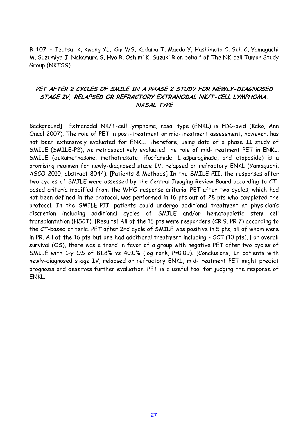**B 107 -** Izutsu K, Kwong YL, Kim WS, Kodama T, Maeda Y, Hashimoto C, Suh C, Yamaguchi M, Suzumiya J, Nakamura S, Hyo R, Oshimi K, Suzuki R on behalf of The NK-cell Tumor Study Group (NKTSG)

# **PET AFTER 2 CYCLES OF SMILE IN A PHASE 2 STUDY FOR NEWLY-DIAGNOSED STAGE IV, RELAPSED OR REFRACTORY EXTRANODAL NK/T-CELL LYMPHOMA. NASAL TYPE**

Background] Extranodal NK/T-cell lymphoma, nasal type (ENKL) is FDG-avid (Kako, Ann Oncol 2007). The role of PET in post-treatment or mid-treatment assessment, however, has not been extensively evaluated for ENKL. Therefore, using data of a phase II study of SMILE (SMILE-P2), we retrospectively evaluated the role of mid-treatment PET in ENKL. SMILE (dexamethasone, methotrexate, ifosfamide, L-asparaginase, and etoposide) is a promising regimen for newly-diagnosed stage IV, relapsed or refractory ENKL (Yamaguchi, ASCO 2010, abstract 8044). [Patients & Methods] In the SMILE-PII, the responses after two cycles of SMILE were assessed by the Central Imaging Review Board according to CTbased criteria modified from the WHO response criteria. PET after two cycles, which had not been defined in the protocol, was performed in 16 pts out of 28 pts who completed the protocol. In the SMILE-PII, patients could undergo additional treatment at physician's discretion including additional cycles of SMILE and/or hematopoietic stem cell transplantation (HSCT). [Results] All of the 16 pts were responders (CR 9, PR 7) according to the CT-based criteria. PET after 2nd cycle of SMILE was positive in 5 pts, all of whom were in PR. All of the 16 pts but one had additional treatment including HSCT (10 pts). For overall survival (OS), there was a trend in favor of a group with negative PET after two cycles of SMILE with 1-y OS of 81.8% vs 40.0% (log rank, P=0.09). [Conclusions] In patients with newly-diagnosed stage IV, relapsed or refractory ENKL, mid-treatment PET might predict prognosis and deserves further evaluation. PET is a useful tool for judging the response of ENKL.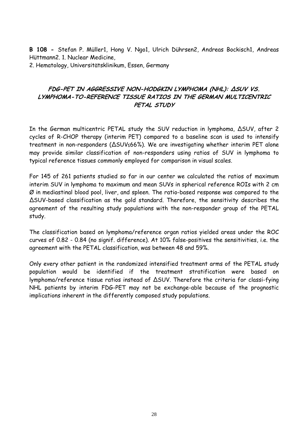**B 108 -** Stefan P. Müller1, Hong V. Ngo1, Ulrich Dührsen2, Andreas Bockisch1, Andreas Hüttmann2. 1. Nuclear Medicine, 2. Hematology, Universitätsklinikum, Essen, Germany

# **FDG-PET IN AGGRESSIVE NON-HODGKIN LYMPHOMA (NHL): ∆SUV VS. LYMPHOMA-TO-REFERENCE TISSUE RATIOS IN THE GERMAN MULTICENTRIC PETAL STUDY**

In the German multicentric PETAL study the SUV reduction in lymphoma, ∆SUV, after 2 cycles of R-CHOP therapy (interim PET) compared to a baseline scan is used to intensify treatment in non-responders (∆SUV≤66%). We are investigating whether interim PET alone may provide similar classification of non-responders using ratios of SUV in lymphoma to typical reference tissues commonly employed for comparison in visual scales.

For 145 of 261 patients studied so far in our center we calculated the ratios of maximum interim SUV in lymphoma to maximum and mean SUVs in spherical reference ROIs with 2 cm Ø in mediastinal blood pool, liver, and spleen. The ratio-based response was compared to the ∆SUV-based classification as the gold standard. Therefore, the sensitivity describes the agreement of the resulting study populations with the non-responder group of the PETAL study.

The classification based on lymphoma/reference organ ratios yielded areas under the ROC curves of 0.82 - 0.84 (no signif. difference). At 10% false-positives the sensitivities, i.e. the agreement with the PETAL classification, was between 48 and 59%.

Only every other patient in the randomized intensified treatment arms of the PETAL study population would be identified if the treatment stratification were based on lymphoma/reference tissue ratios instead of ∆SUV. Therefore the criteria for classi-fying NHL patients by interim FDG-PET may not be exchange-able because of the prognostic implications inherent in the differently composed study populations.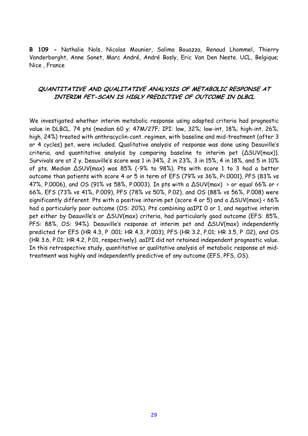**B 109 -** Nathalie Nols, Nicolas Mounier, Salima Bouazza, Renaud Lhommel, Thierry Vanderborght, Anne Sonet, Marc André, André Bosly, Eric Van Den Neste. UCL, Belgique; Nice , France

#### **QUANTITATIVE AND QUALITATIVE ANALYSIS OF METABOLIC RESPONSE AT INTERIM PET-SCAN IS HIGLY PREDICTIVE OF OUTCOME IN DLBCL**

We investigated whether interim metabolic response using adapted criteria had prognostic value in DLBCL. 74 pts (median 60 y; 47M/27F; IPI: low, 32%; low-int, 18%; high-int, 26%; high, 24%) treated with anthracyclin-cont. regimen, with baseline and mid-treatment (after 3 or 4 cycles) pet, were included. Qualitative analysis of response was done using Deauville's criteria, and quantitative analysis by comparing baseline to interim pet (∆SUV(max)). Survivals are at 2 y. Deauville's score was 1 in 34%, 2 in 23%, 3 in 15%, 4 in 18%, and 5 in 10% of pts. Median ∆SUV(max) was 85% (-9% to 98%). Pts with score 1 to 3 had a better outcome than patients with score 4 or 5 in term of EFS (79% vs 36%, P<.0001), PFS (83% vs 47%, P.0006), and OS (91% vs 58%, P.0003). In pts with a ∆SUV(max) > or equal 66% or < 66%, EFS (73% vs 41%, P.009), PFS (78% vs 50%, P.02), and OS (88% vs 56%, P.008) were significantly different. Pts with a positive interim pet (score 4 or 5) and a ∆SUV(max) < 66% had a particularly poor outcome (OS: 20%). Pts combining aaIPI 0 or 1, and negative interim pet either by Deauville's or  $\Delta$ SUV(max) criteria, had particularly good outcome (EFS: 85%, PFS: 88%, OS: 94%). Deauville's response at interim pet and ∆SUV(max) independently predicted for EFS (HR 4.3, P .001; HR 4.3, P.003), PFS (HR 3.2, P.01; HR 3.5, P .02), and OS (HR 3.6, P.01; HR 4.2, P.01, respectively). aaIPI did not retained independent prognostic value. In this retrospective study, quantitative or qualitative analysis of metabolic response at midtreatment was highly and independently predictive of any outcome (EFS, PFS, OS).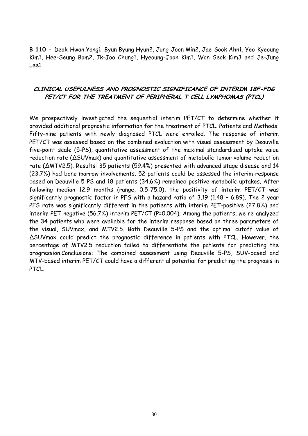**B 110 -** Deok-Hwan Yang1, Byun Byung Hyun2, Jung-Joon Min2, Jae-Sook Ahn1, Yeo-Kyeoung Kim1, Hee-Seung Bom2, Ik-Joo Chung1, Hyeoung-Joon Kim1, Won Seok Kim3 and Je-Jung Lee1

#### **CLINICAL USEFULNESS AND PROGNOSTIC SIGNIFICANCE OF INTERIM 18F-FDG PET/CT FOR THE TREATMENT OF PERIPHERAL T CELL LYMPHOMAS (PTCL)**

We prospectively investigated the sequential interim PET/CT to determine whether it provided additional prognostic information for the treatment of PTCL. Patients and Methods: Fifty-nine patients with newly diagnosed PTCL were enrolled. The response of interim PET/CT was assessed based on the combined evaluation with visual assessment by Deauville five-point scale (5-PS), quantitative assessment of the maximal standardized uptake value reduction rate (∆SUVmax) and quantitative assessment of metabolic tumor volume reduction rate (∆MTV2.5). Results: 35 patients (59.4%) presented with advanced stage disease and 14 (23.7%) had bone marrow involvements. 52 patients could be assessed the interim response based on Deauville 5-PS and 18 patients (34.6%) remained positive metabolic uptakes. After following median 12.9 months (range, 0.5-75.0), the positivity of interim PET/CT was significantly prognostic factor in PFS with a hazard ratio of 3.19 (1.48 – 6.89). The 2-year PFS rate was significantly different in the patients with interim PET-positive (27.8%) and interim PET-negative (56.7%) interim PET/CT (P=0.004). Among the patients, we re-analyzed the 34 patients who were available for the interim response based on three parameters of the visual, SUVmax, and MTV2.5. Both Deauville 5-PS and the optimal cutoff value of ∆SUVmax could predict the prognostic difference in patients with PTCL. However, the percentage of MTV2.5 reduction failed to differentiate the patients for predicting the progression.Conclusions: The combined assessment using Deauville 5-PS, SUV-based and MTV-based interim PET/CT could have a differential potential for predicting the prognosis in PTCL.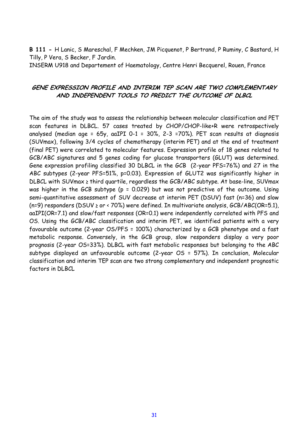**B 111 -** H Lanic, S Mareschal, F Mechken, JM Picquenot, P Bertrand, P Ruminy, C Bastard, H Tilly, P Vera, S Becker, F Jardin.

INSERM U918 and Departement of Haematology, Centre Henri Becquerel, Rouen, France

#### **GENE EXPRESSION PROFILE AND INTERIM TEP SCAN ARE TWO COMPLEMENTARY AND INDEPENDENT TOOLS TO PREDICT THE OUTCOME OF DLBCL**

The aim of the study was to assess the relationship between molecular classification and PET scan features in DLBCL. 57 cases treated by CHOP/CHOP-like+R were retrospectively analysed (median age = 65y, aaIPI 0-1 = 30%, 2-3 =70%). PET scan results at diagnosis (SUVmax), following 3/4 cycles of chemotherapy (interim PET) and at the end of treatment (final PET) were correlated to molecular features. Expression profile of 18 genes related to GCB/ABC signatures and 5 genes coding for glucose transporters (GLUT) was determined. Gene expression profiling classified 30 DLBCL in the GCB (2-year PFS=76%) and 27 in the ABC subtypes (2-year PFS=51%, p=0.03). Expression of GLUT2 was significantly higher in DLBCL with SUVmax ≥ third quartile, regardless the GCB/ABC subtype. At base-line, SUVmax was higher in the GCB subtype (p = 0.029) but was not predictive of the outcome. Using semi-quantitative assessment of SUV decrease at interim PET (DSUV) fast (n=36) and slow (n=9) responders (DSUV ≥ or < 70%) were defined. In multivariate analysis, GCB/ABC(OR=5.1), aaIPI(OR=7.1) and slow/fast responses (OR=0.1) were independently correlated with PFS and OS. Using the GCB/ABC classification and interim PET, we identified patients with a very favourable outcome (2-year OS/PFS = 100%) characterized by a GCB phenotype and a fast metabolic response. Conversely, in the GCB group, slow responders display a very poor prognosis (2-year OS=33%). DLBCL with fast metabolic responses but belonging to the ABC subtype displayed an unfavourable outcome (2-year OS = 57%). In conclusion, Molecular classification and interim TEP scan are two strong complementary and independent prognostic factors in DLBCL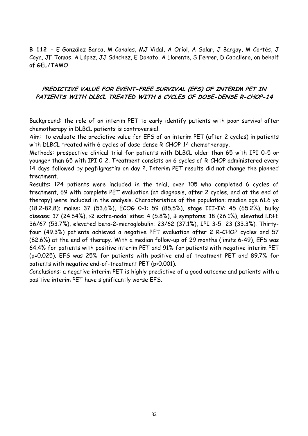**B 112 -** E González-Barca, M Canales, MJ Vidal, A Oriol, A Salar, J Bargay, M Cortés, J Coya, JF Tomas, A López, JJ Sánchez, E Donato, A Llorente, S Ferrer, D Caballero, on behalf of GEL/TAMO

## **PREDICTIVE VALUE FOR EVENT-FREE SURVIVAL (EFS) OF INTERIM PET IN PATIENTS WITH DLBCL TREATED WITH 6 CYCLES OF DOSE-DENSE R-CHOP-14**

Background: the role of an interim PET to early identify patients with poor survival after chemotherapy in DLBCL patients is controversial.

Aim: to evaluate the predictive value for EFS of an interim PET (after 2 cycles) in patients with DLBCL treated with 6 cycles of dose-dense R-CHOP-14 chemotherapy.

Methods: prospective clinical trial for patients with DLBCL older than 65 with IPI 0-5 or younger than 65 with IPI 0-2. Treatment consists on 6 cycles of R-CHOP administered every 14 days followed by pegfilgrastim on day 2. Interim PET results did not change the planned treatment.

Results: 124 patients were included in the trial, over 105 who completed 6 cycles of treatment, 69 with complete PET evaluation (at diagnosis, after 2 cycles, and at the end of therapy) were included in the analysis. Characteristics of the population: median age 61.6 yo (18.2-82.8); males: 37 (53.6%), ECOG 0-1: 59 (85.5%), stage III-IV: 45 (65.2%), bulky disease: 17 (24.64%), >2 extra-nodal sites: 4 (5.8%), B symptoms: 18 (26.1%), elevated LDH: 36/67 (53.7%), elevated beta-2-microglobulin: 23/62 (37.1%), IPI 3-5: 23 (33.3%). Thirtyfour (49.3%) patients achieved a negative PET evaluation after 2 R-CHOP cycles and 57 (82.6%) at the end of therapy. With a median follow-up of 29 months (limits 6-49), EFS was 64.4% for patients with positive interim PET and 91% for patients with negative interim PET (p=0.025). EFS was 25% for patients with positive end-of-treatment PET and 89.7% for patients with negative end-of-treatment PET (p<0.001).

Conclusions: a negative interim PET is highly predictive of a good outcome and patients with a positive interim PET have significantly worse EFS.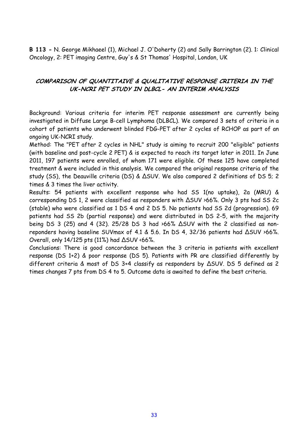**B 113 -** N. George Mikhaeel (1), Michael J. O'Doherty (2) and Sally Barrington (2). 1: Clinical Oncology, 2: PET imaging Centre, Guy's & St Thomas' Hospital, London, UK

# **COMPARISON OF QUANTITAIVE & QUALITATIVE RESPONSE CRITERIA IN THE UK-NCRI PET STUDY IN DLBCL- AN INTERIM ANALYSIS**

Background: Various criteria for interim PET response assessment are currently being investigated in Diffuse Large B-cell Lymphoma (DLBCL). We compared 3 sets of criteria in a cohort of patients who underwent blinded FDG-PET after 2 cycles of RCHOP as part of an ongoing UK-NCRI study.

Method: The "PET after 2 cycles in NHL" study is aiming to recruit 200 "eligible" patients (with baseline and post-cycle 2 PET) & is expected to reach its target later in 2011. In June 2011, 197 patients were enrolled, of whom 171 were eligible. Of these 125 have completed treatment & were included in this analysis. We compared the original response criteria of the study (SS), the Deauville criteria (DS) & ∆SUV. We also compared 2 definitions of DS 5; 2 times & 3 times the liver activity.

Results: 54 patients with excellent response who had SS 1(no uptake), 2a (MRU) & corresponding DS 1, 2 were classified as responders with ∆SUV >66%. Only 3 pts had SS 2c (stable) who were classified as 1 DS 4 and 2 DS 5. No patients had SS 2d (progression). 69 patients had SS 2b (partial response) and were distributed in DS 2-5, with the majority being DS 3 (25) and 4 (32). 25/28 DS 3 had >66% ∆SUV with the 2 classified as nonreponders having baseline SUVmax of 4.1 & 5.6. In DS 4, 32/36 patients had ∆SUV >66%. Overall, only 14/125 pts (11%) had ∆SUV <66%.

Conclusions: There is good concordance between the 3 criteria in patients with excellent response (DS 1+2) & poor response (DS 5). Patients with PR are classified differently by different criteria & most of DS 3+4 classify as responders by ∆SUV. DS 5 defined as 2 times changes 7 pts from DS 4 to 5. Outcome data is awaited to define the best criteria.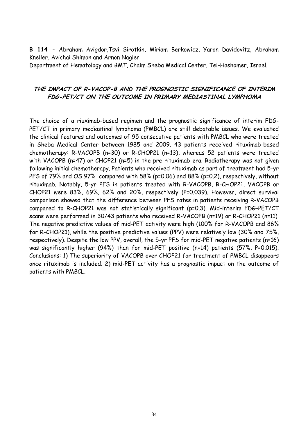**B 114 -** Abraham Avigdor,Tsvi Sirotkin, Miriam Berkowicz, Yaron Davidovitz, Abraham Kneller, Avichai Shimon and Arnon Nagler

Department of Hematology and BMT, Chaim Sheba Medical Center, Tel-Hashomer, Israel.

#### **THE IMPACT OF R-VACOP-B AND THE PROGNOSTIC SIGNIFICANCE OF INTERIM FDG-PET/CT ON THE OUTCOME IN PRIMARY MEDIASTINAL LYMPHOMA**

The choice of a riuximab-based regimen and the prognostic significance of interim FDG-PET/CT in primary mediastinal lymphoma (PMBCL) are still debatable issues. We evaluated the clinical features and outcomes of 95 consecutive patients with PMBCL who were treated in Sheba Medical Center between 1985 and 2009. 43 patients received rituximab-based chemotherapy: R-VACOPB (n=30) or R-CHOP21 (n=13), whereas 52 patients were treated with VACOPB (n=47) or CHOP21 (n=5) in the pre-rituximab era. Radiotherapy was not given following initial chemotherapy. Patients who received rituximab as part of treatment had 5-yr PFS of 79% and OS 97% compared with 58% (p=0.06) and 88% (p=0.2), respectively, without rituximab. Notably, 5-yr PFS in patients treated with R-VACOPB, R-CHOP21, VACOPB or CHOP21 were 83%, 69%, 62% and 20%, respectively (P=0.039). However, direct survival comparison showed that the difference between PFS rates in patients receiving R-VACOPB compared to R-CHOP21 was not statistically significant (p=0.3). Mid-interim FDG-PET/CT scans were performed in 30/43 patients who received R-VACOPB (n=19) or R-CHOP21 (n=11). The negative predictive values of mid-PET activity were high (100% for R-VACOPB and 86% for R-CHOP21), while the positive predictive values (PPV) were relatively low (30% and 75%, respectively). Despite the low PPV, overall, the 5-yr PFS for mid-PET negative patients (n=16) was significantly higher (94%) than for mid-PET positive (n=14) patients (57%, P=0.015). Conclusions: 1) The superiority of VACOPB over CHOP21 for treatment of PMBCL disappears once rituximab is included. 2) mid-PET activity has a prognostic impact on the outcome of patients with PMBCL.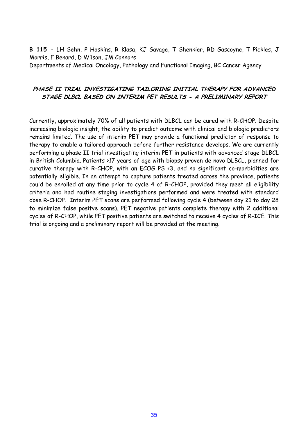**B 115 -** LH Sehn, P Hoskins, R Klasa, KJ Savage, T Shenkier, RD Gascoyne, T Pickles, J Morris, F Benard, D Wilson, JM Connors Departments of Medical Oncology, Pathology and Functional Imaging, BC Cancer Agency

#### **PHASE II TRIAL INVESTIGATING TAILORING INITIAL THERAPY FOR ADVANCED STAGE DLBCL BASED ON INTERIM PET RESULTS - A PRELIMINARY REPORT**

Currently, approximately 70% of all patients with DLBCL can be cured with R-CHOP. Despite increasing biologic insight, the ability to predict outcome with clinical and biologic predictors remains limited. The use of interim PET may provide a functional predictor of response to therapy to enable a tailored approach before further resistance develops. We are currently performing a phase II trial investigating interim PET in patients with advanced stage DLBCL in British Columbia. Patients >17 years of age with biopsy proven de novo DLBCL, planned for curative therapy with R-CHOP, with an ECOG PS <3, and no significant co-morbidities are potentially eligible. In an attempt to capture patients treated across the province, patients could be enrolled at any time prior to cycle 4 of R-CHOP, provided they meet all eligibility criteria and had routine staging investigations performed and were treated with standard dose R-CHOP. Interim PET scans are performed following cycle 4 (between day 21 to day 28 to minimize false positve scans). PET negative patients complete therapy with 2 additional cycles of R-CHOP, while PET positive patients are switched to receive 4 cycles of R-ICE. This trial is ongoing and a preliminary report will be provided at the meeting.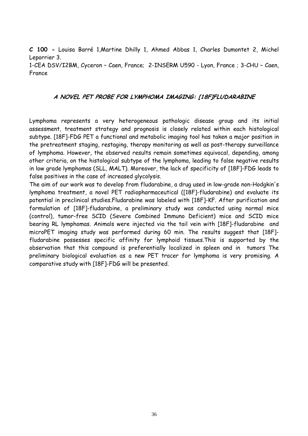**C 100 -** Louisa Barré 1,Martine Dhilly 1, Ahmed Abbas 1, Charles Dumontet 2, Michel Leporrier 3. 1-CEA DSV/I2BM, Cyceron – Caen, France; 2-INSERM U590 - Lyon, France ; 3-CHU – Caen, France

#### **A NOVEL PET PROBE FOR LYMPHOMA IMAGING: [18F]FLUDARABINE**

Lymphoma represents a very heterogeneous pathologic disease group and its initial assessment, treatment strategy and prognosis is closely related within each histological subtype. [18F]-FDG PET a functional and metabolic imaging tool has taken a major position in the pretreatment staging, restaging, therapy monitoring as well as post-therapy surveillance of lymphoma. However, the observed results remain sometimes equivocal, depending, among other criteria, on the histological subtype of the lymphoma, leading to false negative results in low grade lymphomas (SLL, MALT). Moreover, the lack of specificity of [18F]-FDG leads to false positives in the case of increased glycolysis.

The aim of our work was to develop from fludarabine, a drug used in low-grade non-Hodgkin's lymphoma treatment, a novel PET radiopharmaceutical ([18F]-fludarabine) and evaluate its potential in preclinical studies.Fludarabine was labeled with [18F]-KF. After purification and formulation of [18F]-fludarabine, a preliminary study was conducted using normal mice (control), tumor-free SCID (Severe Combined Immuno Deficient) mice and SCID mice bearing RL lymphomas. Animals were injected via the tail vein with [18F]-fludarabine and microPET imaging study was performed during 60 min. The results suggest that [18F] fludarabine possesses specific affinity for lymphoid tissues.This is supported by the observation that this compound is preferentially localized in spleen and in tumors The preliminary biological evaluation as a new PET tracer for lymphoma is very promising. A comparative study with [18F]-FDG will be presented.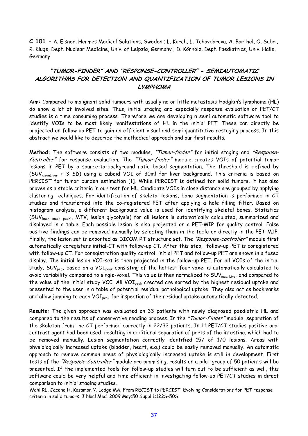**C 101 -** A. Elsner, Hermes Medical Solutions, Sweden ; L. Kurch, L. Tchavdarova, A. Barthel, O. Sabri, R. Kluge, Dept. Nuclear Medicine, Univ. of Leipzig, Germany ; D. Körholz, Dept. Paediatrics, Univ. Halle, Germany

# **"TUMOR-FINDER" AND "RESPONSE-CONTROLLER" - SEMIAUTOMATIC ALGORITHMS FOR DETECTION AND QUANTIFICATION OF TUMOR LESIONS IN LYMPHOMA**

**Aim:** Compared to malignant solid tumours with usually no or little metastasis Hodgkin's lymphoma (HL) do show a lot of involved sites. Thus, initial staging and especially response evaluation of PET/CT studies is a time consuming process. Therefore we are developing a semi automatic software tool to identify VOIs to be most likely manifestations of HL in the initial PET. These can directly be projected on follow up PET to gain an efficient visual and semi quantitative restaging process. In this abstract we would like to describe the methodical approach and our first results.

**Method:** The software consists of two modules, "Tumor-finder" for initial staging and "Response-Controller" for response evaluation. The "Tumor-finder" module creates VOIs of potential tumor lesions in PET by a source-to-background ratio based segmentation. The threshold is defined by (SUV<sub>meanLiver</sub> + 3 SD) using a cuboid VOI of 30ml for liver background. This criteria is based on PERCIST for tumor burden estimation [1]. While PERCIST is defined for solid tumors, it has also proven as a stable criteria in our test for HL. Candidate VOIs in close distance are grouped by applying clustering techniques. For identification of skeletal lesions, bone segmentation is performed in CT studies and transferred into the co-registered PET after applying a hole filling filter. Based on histogram analysis, a different background value is used for identifying skeletal bones. Statistics (SUV{max, mean, peak}, MTV, lesion glycolysis) for all lesions is automatically calculated, summarized and displayed in a table. Each possible lesion is also projected on a PET-MIP for quality control. False positive findings can be removed manually by selecting them in the table or directly in the PET-MIP. Finally, the lesion set is exported as DICOM RT structure set. The "Response-controller" module first automatically coregisters initial-CT with follow-up CT. After this step, follow-up PET is coregistered with follow-up CT. For coregistration quality control, initial PET and follow-up PET are shown in a fused display. The initial lesion VOI-set is then projected in the follow-up PET. For all VOIs of the initial study, SUV<sub>peak</sub> based on a VOI<sub>peak</sub> consisting of the hottest four voxel is automatically calculated to avoid variability compared to single-voxel. This value is then normalized to SUV<sub>meanLiver</sub> and compared to the value of the initial study VOI. All VOI<sub>peak</sub> created are sorted by the highest residual uptake and presented to the user in a table of potential residual pathological uptake. They also act as bookmarks and allow jumping to each VOI<sub>peak</sub> for inspection of the residual uptake automatically detected.

**Results:** The given approach was evaluated on 33 patients with newly diagnosed paediatric HL and compared to the results of conservative reading process. In the "Tumor-Finder" module, separation of the skeleton from the CT performed correctly in 22/33 patients. In 11 PET/CT studies positive oral contrast agent had been used, resulting in additional separation of parts of the intestine, which had to be removed manually. Lesion segmentation correctly identified 157 of 170 lesions. Areas with physiologically increased uptake (bladder, heart, e.g.) could be easily removed manually. An automatic approach to remove common areas of physiologically increased uptake is still in development. First tests of the "Response-Controller" module are promising, results on a pilot group of 50 patients will be presented. If the implemented tools for follow-up studies will turn out to be sufficient as well, this software could be very helpful and time efficient in investigating follow-up PET/CT studies in direct comparison to initial staging studies.

Wahl RL, Jacene H, Kasamon Y, Lodge MA. From RECIST to PERCIST: Evolving Considerations for PET response criteria in solid tumors. J Nucl Med. 2009 May;50 Suppl 1:122S-50S.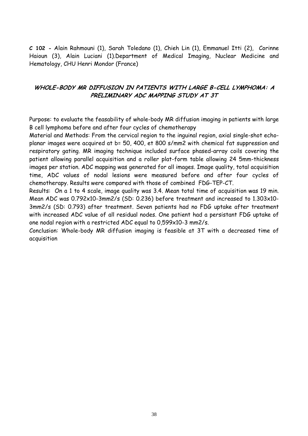**C 102 -** Alain Rahmouni (1), Sarah Toledano (1), Chieh Lin (1), Emmanuel Itti (2), Corinne Haioun (3), Alain Luciani (1).Department of Medical Imaging, Nuclear Medicine and Hematology, CHU Henri Mondor (France)

# **WHOLE-BODY MR DIFFUSION IN PATIENTS WITH LARGE B-CELL LYMPHOMA: A PRELIMINARY ADC MAPPING STUDY AT 3T**

Purpose: to evaluate the feasability of whole-body MR diffusion imaging in patients with large B cell lymphoma before and after four cycles of chemotherapy

Material and Methods: From the cervical region to the inguinal region, axial single-shot echoplanar images were acquired at b= 50, 400, et 800 s/mm2 with chemical fat suppression and respiratory gating. MR imaging technique included surface phased-array coils covering the patient allowing parallel acquisition and a roller plat-form table allowing 24 5mm-thickness images per station. ADC mapping was generated for all images. Image quality, total acquisition time, ADC values of nodal lesions were measured before and after four cycles of chemotherapy. Results were compared with those of combined FDG-TEP-CT.

Results: On a 1 to 4 scale, image quality was 3.4. Mean total time of acquisition was 19 min. Mean ADC was 0.792x10-3mm2/s (SD: 0.236) before treatment and increased to 1.303x10- 3mm2/s (SD: 0.793) after treatment. Seven patients had no FDG uptake after treatment with increased ADC value of all residual nodes. One patient had a persistant FDG uptake of one nodal region with a restricted ADC equal to 0,599x10-3 mm2/s.

Conclusion: Whole-body MR diffusion imaging is feasible at 3T with a decreased time of acquisition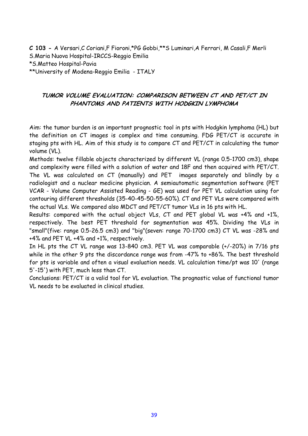**C 103 -** A Versari,C Coriani,F Fioroni,\*PG Gobbi,\*\*S Luminari,A Ferrari, M Casali,F Merli S.Maria Nuova Hospital-IRCCS-Reggio Emilia \*S.Matteo Hospital-Pavia \*\*University of Modena-Reggio Emilia - ITALY

# **TUMOR VOLUME EVALUATION: COMPARISON BETWEEN CT AND PET/CT IN PHANTOMS AND PATIENTS WITH HODGKIN LYMPHOMA**

Aim: the tumor burden is an important prognostic tool in pts with Hodgkin lymphoma (HL) but the definition on CT images is complex and time consuming. FDG PET/CT is accurate in staging pts with HL. Aim of this study is to compare CT and PET/CT in calculating the tumor volume (VL).

Methods: twelve fillable objects characterized by different VL (range 0.5-1700 cm3), shape and complexity were filled with a solution of water and 18F and then acquired with PET/CT. The VL was calculated on CT (manually) and PET images separately and blindly by a radiologist and a nuclear medicine physician. A semiautomatic segmentation software (PET VCAR - Volume Computer Assisted Reading - GE) was used for PET VL calculation using for contouring different thresholds (35-40-45-50-55-60%). CT and PET VLs were compared with the actual VLs. We compared also MDCT and PET/CT tumor VLs in 16 pts with HL.

Results: compared with the actual object VLs, CT and PET global VL was +4% and +1%, respectively. The best PET threshold for segmentation was 45%. Dividing the VLs in "small"(five: range 0.5-26.5 cm3) and "big"(seven: range 70-1700 cm3) CT VL was -28% and +4% and PET VL +4% and +1%, respectively.

In HL pts the CT VL range was 13-840 cm3. PET VL was comparable (+/-20%) in 7/16 pts while in the other 9 pts the discordance range was from -47% to +86%. The best threshold for pts is variable and often a visual evaluation needs. VL calculation time/pt was 10' (range 5'-15') with PET, much less than CT.

Conclusions: PET/CT is a valid tool for VL evaluation. The prognostic value of functional tumor VL needs to be evaluated in clinical studies.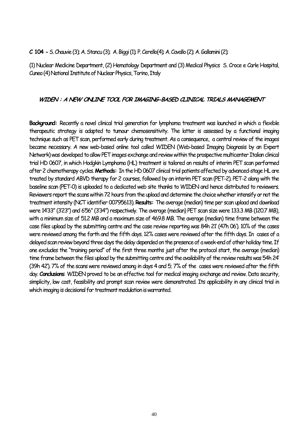**C 104 -** S. Chauvie (3); A. Stancu (3); A. Biggi (1); P. Cerello(4); A. Cavallo (2); A. Gallamini (2);

(1) Nuclear Medicine Department, (2) Hematology Department and (3) Medical Physics S. Croce e Carle Hospital, Cuneo (4) National Institute of Nuclear Physics, Torino, Italy

#### **WIDEN : A NEW ONLINE TOOL FOR IMAGING-BASED CLINICAL TRIALS MANAGEMENT**

**Background:** Recently a novel clinical trial generation for lymphoma treatment was launched in which a flexible therapeutic strategy is adapted to tumour chemosensitivity. The latter is assessed by a functional imaging technique such as PET scan, performed early during treatment. As a consequence, a central review of the images became necessary. A new web-based online tool called WIDEN (Web-based Imaging Diagnosis by an Expert Network) was developed to allow PET images exchange and review within the prospective multicenter Italian clinical trial HD 0607, in which Hodgkin Lymphoma (HL) treatment is tailored on results of interim PET scan performed after 2 chemotherapy cycles. **Methods:** In the HD 0607 clinical trial patients affected by advanced-stage HL are treated by standard ABVD therapy for 2 courses, followed by an interim PET scan (PET-2). PET-2 along with the baseline scan (PET-0) is uploaded to a dedicated web site thanks to WIDEN and hence distributed to reviewers. Reviewers report the scans within 72 hours from the upload and determine the choice whether intensify or not the treatment intensity (NCT identifier 00795613). **Results:** The average (median) time per scan upload and download were 14'33" (3'23") and 6'56" (3'34") respectively. The average (median) PET scan size were 133.3 MB (120.7 MB), with a minimum size of 51.2 MB and a maximum size of 469.8 MB. The average (median) time frame between the case files upload by the submitting centre and the case review reporting was 84h 21' (47h 06'). 10% of the cases were reviewed among the forth and the fifth days. 12% cases were reviewed after the fifth days. In cases of a delayed scan review beyond three days the delay depended on the presence of a week-end of other holiday time. If one excludes the "training period" of the first three months just after the protocol start, the average (median) time frame between the files upload by the submitting centre and the availability of the review results was 54h 24' (39h 42'). 7% of the scans were reviewed among in days 4 and 5; 7% of the cases were reviewed after the fifth day. **Conclusions**: WIDEN proved to be an effective tool for medical imaging exchange and review. Data security, simplicity, low cost, feasibility and prompt scan review were demonstrated. Its applicability in any clinical trial in which imaging is decisional for treatment modulation is warranted.